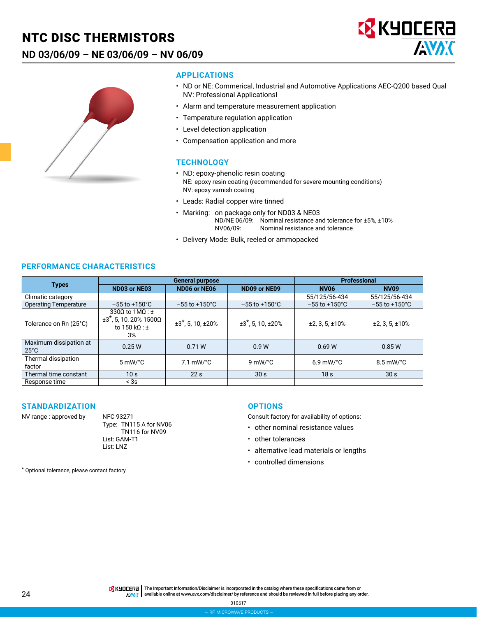## NTC DISC THERMISTORS

## **ND 03/06/09 – NE 03/06/09 – NV 06/09**





#### **APPLICATIONS**

- ND or NE: Commerical, Industrial and Automotive Applications AEC-Q200 based Qual NV: Professional Applicationsl
- Alarm and temperature measurement application
- Temperature regulation application
- Level detection application
- Compensation application and more

#### **TECHNOLOGY**

- ND: epoxy-phenolic resin coating NE: epoxy resin coating (recommended for severe mounting conditions) NV: epoxy varnish coating
- Leads: Radial copper wire tinned
- Marking: on package only for ND03 & NE03 ND/NE 06/09: Nominal resistance and tolerance for ±5%, ±10% NV06/09: Nominal resistance and tolerance
- Delivery Mode: Bulk, reeled or ammopacked

### **PERFORMANCE CHARACTERISTICS**

|                                          |                                                                                               | <b>General purpose</b>             |                                    | <b>Professional</b>       |                           |  |
|------------------------------------------|-----------------------------------------------------------------------------------------------|------------------------------------|------------------------------------|---------------------------|---------------------------|--|
| <b>Types</b>                             | ND03 or NE03                                                                                  | ND06 or NE06                       | ND09 or NE09                       | <b>NV06</b>               | <b>NV09</b>               |  |
| Climatic category                        |                                                                                               |                                    |                                    | 55/125/56-434             | 55/125/56-434             |  |
| <b>Operating Temperature</b>             | $-55$ to $+150^{\circ}$ C                                                                     | $-55$ to $+150^{\circ}$ C          | $-55$ to $+150^{\circ}$ C          | $-55$ to $+150^{\circ}$ C | $-55$ to $+150^{\circ}$ C |  |
| Tolerance on Rn (25°C)                   | 3300 to $1MO: \pm$<br>$±3$ <sup>*</sup> , 5, 10, 20% 1500Ω<br>to 150 k $\Omega$ : $\pm$<br>3% | $±3$ <sup>*</sup> , 5, 10, $±20$ % | $±3$ <sup>*</sup> , 5, 10, $±20$ % | ±2, 3, 5, ±10%            | ±2, 3, 5, ±10%            |  |
| Maximum dissipation at<br>$25^{\circ}$ C | 0.25W                                                                                         | 0.71 W                             | 0.9W                               | 0.69W                     | 0.85W                     |  |
| Thermal dissipation<br>factor            | $5 \text{ mW}$ °C                                                                             | $7.1 \text{ mW}$ °C                | 9 mW/ $^{\circ}$ C                 | $6.9$ mW/ $^{\circ}$ C    | $8.5 \text{ mW}$ /°C      |  |
| Thermal time constant                    | 10 <sub>s</sub>                                                                               | 22s                                | 30 <sub>s</sub>                    | 18 <sub>s</sub>           | 30 <sub>s</sub>           |  |
| Response time                            | < 3s                                                                                          |                                    |                                    |                           |                           |  |

#### **STANDARDIZATION**

NV range : approved by NFC 93271

Type: TN115 A for NV06 TN116 for NV09 List: GAM-T1 List: LNZ

#### **OPTIONS**

Consult factory for availability of options:

- other nominal resistance values
- other tolerances
- alternative lead materials or lengths
- controlled dimensions

\* Optional tolerance, please contact factory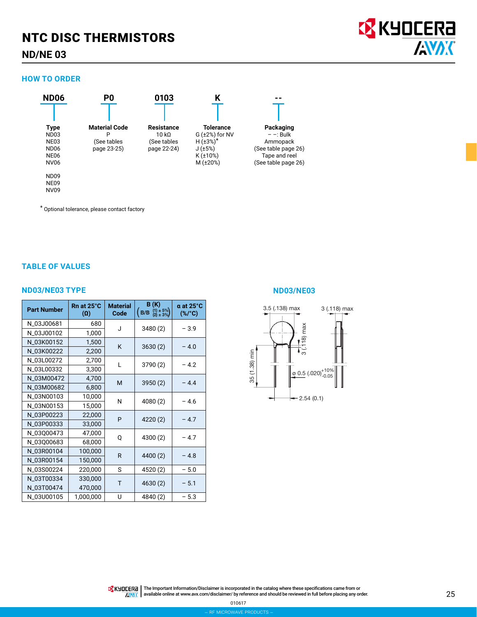## NTC DISC THERMISTORS

### **ND/NE 03**

#### **HOW TO ORDER**



\* Optional tolerance, please contact factory

### **TABLE OF VALUES**

#### **ND03/NE03 TYPE ND03/NE03**

| <b>Part Number</b> | Rn at 25°C<br>$(\Omega)$ | <b>Material</b><br>Code | B(K)<br>$(1) \pm 5\%$<br>(2) $\pm 3\%$<br>(B/B) | $a$ at 25 $^{\circ}$ C<br>$(\%$ /°C) |  |
|--------------------|--------------------------|-------------------------|-------------------------------------------------|--------------------------------------|--|
| N_03J00681         | 680                      | J                       | 3480 (2)                                        | $-3.9$                               |  |
| N_03J00102         | 1,000                    |                         |                                                 |                                      |  |
| N 03K00152         | 1,500                    | K                       | 3630(2)                                         | $-4.0$                               |  |
| N_03K00222         | 2,200                    |                         |                                                 |                                      |  |
| N_03L00272         | 2,700                    | L                       |                                                 | $-4.2$                               |  |
| N_03L00332         | 3,300                    |                         | 3790 (2)                                        |                                      |  |
| N_03M00472         | 4,700                    | M                       | 3950 (2)                                        | $-4.4$                               |  |
| N_03M00682         | 6,800                    |                         |                                                 |                                      |  |
| N_03N00103         | 10,000                   | N                       | 4080 (2)                                        | $-4.6$                               |  |
| N_03N00153         | 15,000                   |                         |                                                 |                                      |  |
| N_03P00223         | 22,000                   | P                       | 4220 (2)                                        | $-4.7$                               |  |
| N_03P00333         | 33,000                   |                         |                                                 |                                      |  |
| N_03Q00473         | 47,000                   | Q                       | 4300 (2)                                        | $-4.7$                               |  |
| N_03Q00683         | 68,000                   |                         |                                                 |                                      |  |
| N_03R00104         | 100,000                  | R                       | 4400 (2)                                        | $-4.8$                               |  |
| N_03R00154         | 150,000                  |                         |                                                 |                                      |  |
| N_03S00224         | 220,000                  | S                       | 4520 (2)                                        | $-5.0$                               |  |
| N_03T00334         | 330,000                  | T                       | 4630 (2)                                        | $-5.1$                               |  |
| N_03T00474         | 470,000                  |                         |                                                 |                                      |  |
| N_03U00105         | 1,000,000                | U                       | 4840 (2)                                        | $-5.3$                               |  |



The Important Information/Disclaimer is incorporated in the catalog where these specifications came from or available online at [www.avx.com/disclaimer/](http://www.avx.com/disclaimer/) by reference and should be reviewed in full before placing any order.

**EX KYOCERA** 

**AVAK**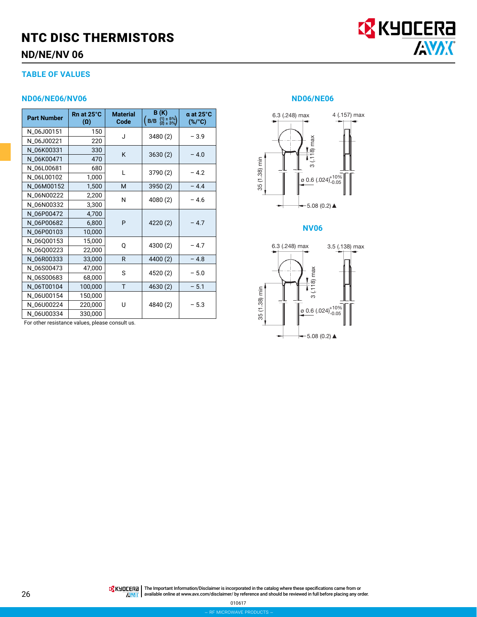## NTC DISC THERMISTORS **ND/NE/NV 06**



### **ND06/NE06/NV06 ND06/NE06**

| <b>Part Number</b> | Rn at 25°C<br>$(\Omega)$ | <b>Material</b><br>Code | B(K)<br>$(B/B \tbinom{11 \pm 5\%}{21 \pm 3\%})$ | $a$ at 25 $^{\circ}$ C<br>$(*/c)$ |  |
|--------------------|--------------------------|-------------------------|-------------------------------------------------|-----------------------------------|--|
| N_06J00151         | 150                      | J                       |                                                 | $-3.9$                            |  |
| N_06J00221         | 220                      |                         | 3480 (2)                                        |                                   |  |
| N_06K00331         | 330                      | K                       |                                                 | $-4.0$                            |  |
| N_06K00471         | 470                      |                         | 3630(2)                                         |                                   |  |
| N_06L00681         | 680                      | L                       | 3790 (2)                                        | $-4.2$                            |  |
| N_06L00102         | 1,000                    |                         |                                                 |                                   |  |
| N_06M00152         | 1,500                    | M                       | 3950(2)                                         | $-4.4$                            |  |
| N_06N00222         | 2,200                    | N                       | 4080 (2)                                        | $-4.6$                            |  |
| N_06N00332         | 3,300                    |                         |                                                 |                                   |  |
| N_06P00472         | 4,700                    |                         | 4220 (2)                                        |                                   |  |
| N_06P00682         | 6,800                    | P                       |                                                 | $-4.7$                            |  |
| N_06P00103         | 10,000                   |                         |                                                 |                                   |  |
| N_06Q00153         | 15,000                   | 0                       | 4300 (2)                                        | $-4.7$                            |  |
| N_06Q00223         | 22,000                   |                         |                                                 |                                   |  |
| N_06R00333         | 33,000                   | $\mathsf{R}$            | 4400 (2)                                        | $-4.8$                            |  |
| N_06S00473         | 47,000                   | S                       | 4520 (2)                                        |                                   |  |
| N_06S00683         | 68,000                   |                         |                                                 | $-5.0$                            |  |
| N_06T00104         | 100,000                  | T                       | 4630 (2)                                        | $-5.1$                            |  |
| N_06U00154         | 150,000                  |                         |                                                 |                                   |  |
| N_06U00224         | 220,000                  | U                       | 4840 (2)                                        | $-5.3$                            |  |
| N_06U00334         | 330,000                  |                         |                                                 |                                   |  |

For other resistance values, please consult us.

EX KYOCERA



#### **NV06**



The Important Information/Disclaimer is incorporated in the catalog where these specifications came from or available online at [www.avx.com/disclaimer/](http://www.avx.com/disclaimer/) by reference and should be reviewed in full before placing any order.

010617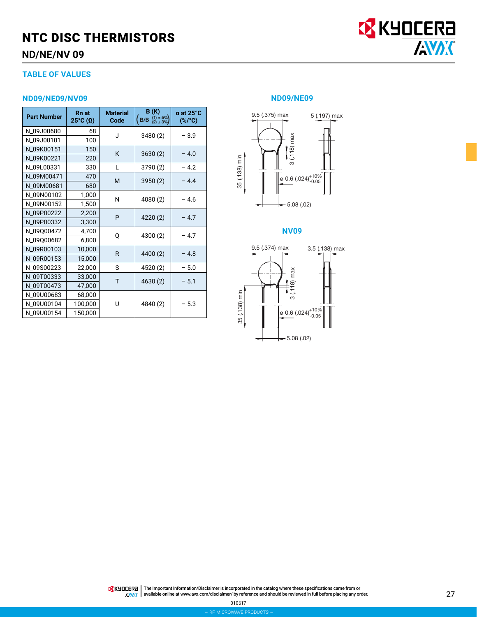## NTC DISC THERMISTORS **ND/NE/NV 09**



### **TABLE OF VALUES**

#### **ND09/NE09/NV09 ND09/NE09**

| <b>Part Number</b> | <b>Rn</b> at<br>25°C ( $\Omega$ ) | <b>Material</b><br>Code | B(K)<br>$(B/B \tbinom{11 \pm 5\%}{21 \pm 3\%})$ | $\alpha$ at 25 $\degree$ C<br>$(*/c)$ |  |
|--------------------|-----------------------------------|-------------------------|-------------------------------------------------|---------------------------------------|--|
| N_09J00680         | 68                                | J                       | 3480(2)                                         | $-3.9$                                |  |
| N 09J00101         | 100                               |                         |                                                 |                                       |  |
| N_09K00151         | 150                               | K                       | 3630(2)                                         | $-4.0$                                |  |
| N_09K00221         | 220                               |                         |                                                 |                                       |  |
| N_09L00331         | 330                               | L                       | 3790 (2)                                        | $-4.2$                                |  |
| N_09M00471         | 470                               | M                       | 3950 (2)                                        | $-4.4$                                |  |
| N_09M00681         | 680                               |                         |                                                 |                                       |  |
| N_09N00102         | 1,000                             | N                       | 4080 (2)                                        | $-4.6$                                |  |
| N_09N00152         | 1,500                             |                         |                                                 |                                       |  |
| N_09P00222         | 2,200                             | P                       | 4220 (2)                                        | $-4.7$                                |  |
| N_09P00332         | 3,300                             |                         |                                                 |                                       |  |
| N_09Q00472         | 4,700                             | Q                       | 4300 (2)                                        | $-4.7$                                |  |
| N_09Q00682         | 6,800                             |                         |                                                 |                                       |  |
| N_09R00103         | 10,000                            | R                       | 4400 (2)                                        | $-4.8$                                |  |
| N_09R00153         | 15,000                            |                         |                                                 |                                       |  |
| N_09S00223         | 22,000                            | S                       | 4520 (2)                                        | $-5.0$                                |  |
| N_09T00333         | 33,000                            | T                       | 4630 (2)                                        | $-5.1$                                |  |
| N_09T00473         | 47,000                            |                         |                                                 |                                       |  |
| N_09U00683         | 68,000                            |                         |                                                 |                                       |  |
| N_09U00104         | 100,000                           | U                       | 4840 (2)                                        | $-5.3$                                |  |
| N_09U00154         | 150,000                           |                         |                                                 |                                       |  |



### **NV09**

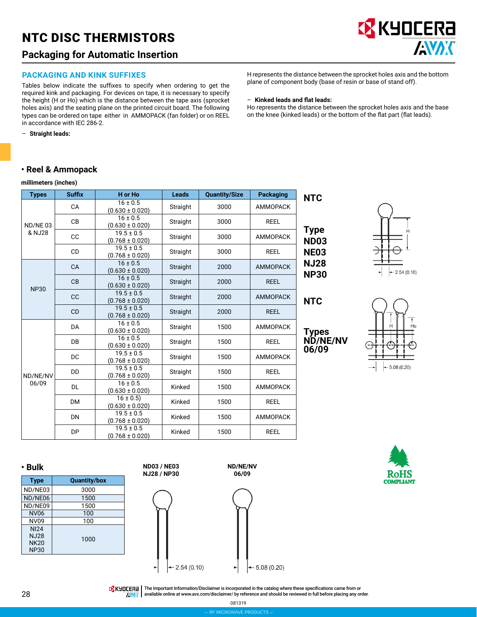## NTC DISC THERMISTORS

## **Packaging for Automatic Insertion**

#### **PACKAGING AND KINK SUFFIXES**

Tables below indicate the suffixes to specify when ordering to get the required kink and packaging. For devices on tape, it is necessary to specify the height (H or Ho) which is the distance between the tape axis (sprocket holes axis) and the seating plane on the printed circuit board. The following types can be ordered on tape either in AMMOPACK (fan folder) or on REEL in accordance with IEC 286-2.

– **Straight leads:**

### **• Reel & Ammopack**

#### **millimeters (inches)**

| <b>Types</b>      | <b>Suffix</b> | H or Ho                               | <b>Leads</b> | <b>Quantity/Size</b> | <b>Packaging</b> | <b>NTC</b>                 |
|-------------------|---------------|---------------------------------------|--------------|----------------------|------------------|----------------------------|
|                   | CA            | $16 \pm 0.5$<br>$(0.630 \pm 0.020)$   | Straight     | 3000                 | <b>AMMOPACK</b>  |                            |
| ND/NE03           | <b>CB</b>     | $16 \pm 0.5$<br>$(0.630 \pm 0.020)$   | Straight     | 3000                 | <b>REEL</b>      |                            |
| & NJ28            | cc            | $19.5 \pm 0.5$<br>$(0.768 \pm 0.020)$ | Straight     | 3000                 | <b>AMMOPACK</b>  | <b>Type</b><br><b>ND03</b> |
|                   | <b>CD</b>     | $19.5 \pm 0.5$<br>$(0.768 \pm 0.020)$ | Straight     | 3000                 | <b>REEL</b>      | <b>NE03</b>                |
|                   | <b>CA</b>     | $16 \pm 0.5$<br>$(0.630 \pm 0.020)$   | Straight     | 2000                 | <b>AMMOPACK</b>  | <b>NJ28</b>                |
| <b>NP30</b>       | CB            | $16 \pm 0.5$<br>$(0.630 \pm 0.020)$   | Straight     | 2000                 | <b>REEL</b>      | <b>NP30</b>                |
|                   | <b>CC</b>     | $19.5 \pm 0.5$<br>$(0.768 \pm 0.020)$ | Straight     | 2000                 | <b>AMMOPACK</b>  | <b>NTC</b>                 |
|                   | <b>CD</b>     | $19.5 \pm 0.5$<br>$(0.768 \pm 0.020)$ | Straight     | 2000                 | <b>REEL</b>      |                            |
|                   | <b>DA</b>     | $16 \pm 0.5$<br>$(0.630 \pm 0.020)$   | Straight     | 1500                 | <b>AMMOPACK</b>  | Types                      |
|                   | <b>DB</b>     | $16 \pm 0.5$<br>$(0.630 \pm 0.020)$   | Straight     | 1500                 | <b>REEL</b>      | <b>ND/NE/NV</b><br>06/09   |
|                   | DC            | $19.5 \pm 0.5$<br>$(0.768 \pm 0.020)$ | Straight     | 1500                 | AMMOPACK         |                            |
| ND/NE/NV<br>06/09 | DD            | $19.5 \pm 0.5$<br>$(0.768 \pm 0.020)$ | Straight     | 1500                 | <b>REEL</b>      |                            |
|                   | <b>DL</b>     | $16 \pm 0.5$<br>$(0.630 \pm 0.020)$   | Kinked       | 1500                 | <b>AMMOPACK</b>  |                            |
|                   | <b>DM</b>     | $16 \pm 0.5$<br>$(0.630 \pm 0.020)$   | Kinked       | 1500                 | <b>REEL</b>      |                            |
|                   | <b>DN</b>     | $19.5 \pm 0.5$<br>$(0.768 \pm 0.020)$ | Kinked       | 1500                 | <b>AMMOPACK</b>  |                            |
|                   | DP            | $19.5 \pm 0.5$<br>$(0.768 \pm 0.020)$ | Kinked       | 1500                 | <b>REEL</b>      |                            |

|  | Н             |
|--|---------------|
|  |               |
|  | $-2.54(0.10)$ |

H represents the distance between the sprocket holes axis and the bottom

**EX KYOCERA** 

AVX

Ho represents the distance between the sprocket holes axis and the base on the knee (kinked leads) or the bottom of the flat part (flat leads).

plane of component body (base of resin or base of stand off).

– **Kinked leads and flat leads:**





1000





**ND/NE/NV 06/09**



रतमs

THE IMPORTANT IN The Important Information/Disclaimer is incorporated in the catalog where these specifications came from or available online at [www.avx.com/disclaimer/](http://www.avx.com/disclaimer/) by reference and should be reviewed in full before placing any order. **ANAK** 

081319

NI24 NJ28 NK20 NP30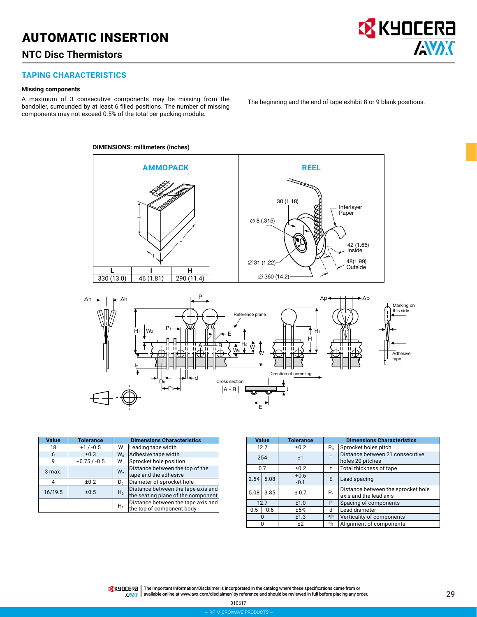## AUTOMATIC INSERTION

## **NTC Disc Thermistors**

### **TAPING CHARACTERISTICS**

#### **Missing components**

A maximum of 3 consecutive components may be missing from the bandolier, surrounded by at least 6 filled positions. The number of missing components may not exceed 0.5% of the total per packing module.

The beginning and the end of tape exhibit 8 or 9 blank positions.

**B** KYOCERA

**AVAX** 

#### **DIMENSIONS: millimeters (inches)**





| <b>Value</b> | <b>Tolerance</b> | <b>Dimensions Characteristics</b> |                                                                          |  |
|--------------|------------------|-----------------------------------|--------------------------------------------------------------------------|--|
| 18           | $+1/ -0.5$       | W                                 | Leading tape width                                                       |  |
| 6            | ±0.3             | $W_0$                             | Adhesive tape width                                                      |  |
| 9            | $+0.75/ -0.5$    | W <sub>1</sub>                    | Sprocket hole position                                                   |  |
| 3 max.       |                  | W <sub>2</sub>                    | Distance between the top of the<br>tape and the adhesive                 |  |
| 4            | ±0.2             | $D_n$                             | Diameter of sprocket hole                                                |  |
| 16/19.5      | ±0.5             | $H_0$                             | Distance between the tape axis and<br>the seating plane of the component |  |
|              |                  | $H_1$                             | Distance between the tape axis and<br>the top of component body          |  |

|      | <b>Value</b> | <b>Tolerance</b> | <b>Dimensions Characteristics</b> |                                                              |  |
|------|--------------|------------------|-----------------------------------|--------------------------------------------------------------|--|
|      | 12.7         | ±0.2             | $P_{n}$                           | Sprocket holes pitch                                         |  |
|      | 254          | ±1               |                                   | Distance between 21 consecutive<br>holes 20 pitches          |  |
|      | 0.7          | ±0.2             |                                   | Total thickness of tape                                      |  |
| 2.54 | 5.08         | $+0.6$<br>$-0.1$ | E.                                | Lead spacing                                                 |  |
| 5.08 | 3.85         | ± 0.7            | $P_{1}$                           | Distance between the sprocket hole<br>axis and the lead axis |  |
|      | 12.7         | ±1.0             | P                                 | Spacing of components                                        |  |
| 0.5  | 0.6          | ±5%              | d                                 | Lead diameter                                                |  |
|      | 0            | ±1.3             | 3P                                | Verticality of components                                    |  |
|      | 0            | ±2               | <sup>3</sup> h                    | Alignment of components                                      |  |

The Important Information/Disclaimer is incorporated in the catalog where these specifications came from or available online at [www.avx.com/disclaimer/](http://www.avx.com/disclaimer/) by reference and should be reviewed in full before placing any order. **ANAK** 

> – rf microwave products – 010617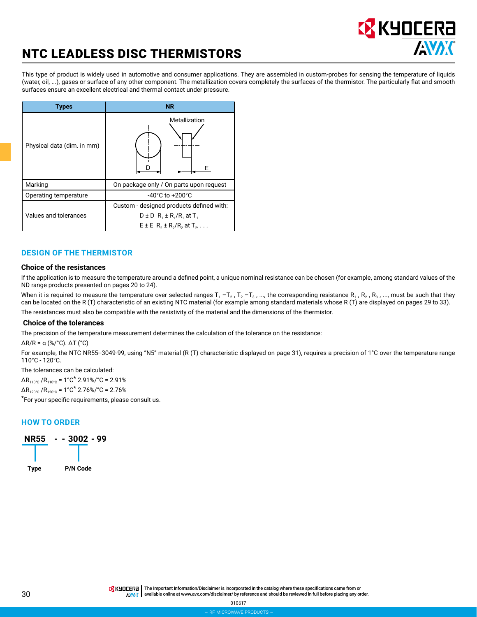

## NTC LEADLESS DISC THERMISTORS

This type of product is widely used in automotive and consumer applications. They are assembled in custom-probes for sensing the temperature of liquids (water, oil, ...), gases or surface of any other component. The metallization covers completely the surfaces of the thermistor. The particularly flat and smooth surfaces ensure an excellent electrical and thermal contact under pressure.

| <b>Types</b>               | <b>NR</b>                                                                                                                   |  |  |
|----------------------------|-----------------------------------------------------------------------------------------------------------------------------|--|--|
| Physical data (dim. in mm) | Metallization                                                                                                               |  |  |
| Marking                    | On package only / On parts upon request                                                                                     |  |  |
| Operating temperature      | $-40^{\circ}$ C to $+200^{\circ}$ C                                                                                         |  |  |
| Values and tolerances      | Custom - designed products defined with:<br>$D \pm D$ R <sub>1</sub> $\pm$ R <sub>1</sub> /R <sub>1</sub> at T <sub>1</sub> |  |  |
|                            | $E \pm E$ R <sub>2</sub> $\pm$ R <sub>2</sub> /R <sub>2</sub> at T <sub>2</sub> ,                                           |  |  |

### **DESIGN OF THE THERMISTOR**

#### **Choice of the resistances**

If the application is to measure the temperature around a defined point, a unique nominal resistance can be chosen (for example, among standard values of the ND range products presented on pages 20 to 24).

When it is required to measure the temperature over selected ranges  $T_1 - T_2$ ,  $T_2 - T_3$ , ..., the corresponding resistance R<sub>1</sub>, R<sub>2</sub>, R<sub>3</sub>, ..., must be such that they can be located on the R (T) characteristic of an existing NTC material (for example among standard materials whose R (T) are displayed on pages 29 to 33). The resistances must also be compatible with the resistivity of the material and the dimensions of the thermistor.

#### **Choice of the tolerances**

The precision of the temperature measurement determines the calculation of the tolerance on the resistance:

 $\Delta$ R/R =  $\alpha$  (%/°C).  $\Delta$ T (°C)

For example, the NTC NR55--3049-99, using "N5" material (R (T) characteristic displayed on page 31), requires a precision of 1°C over the temperature range 110°C - 120°C.

The tolerances can be calculated:

 $\Delta$ R<sub>110°C</sub> /R<sub>110°C</sub> = 1°C<sup>\*</sup> 2.91%/°C = 2.91%

 $\Delta$ R<sub>120°C</sub> /R<sub>120°C</sub> = 1°C<sup>\*</sup> 2.76%/°C = 2.76%

\*For your specific requirements, please consult us.

### **HOW TO ORDER**

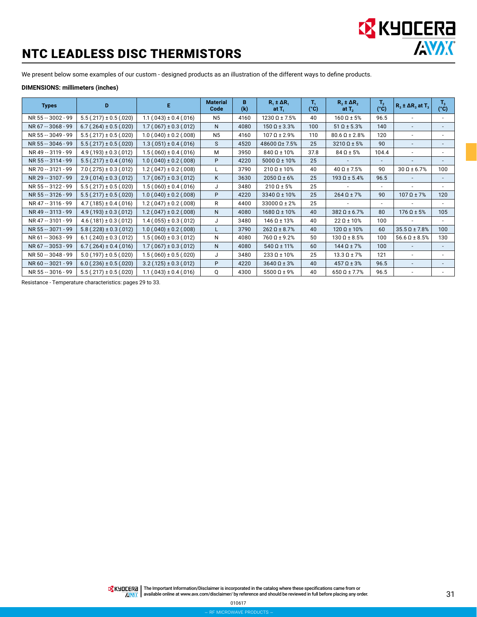

## NTC LEADLESS DISC THERMISTORS

We present below some examples of our custom - designed products as an illustration of the different ways to define products.

#### **DIMENSIONS: millimeters (inches)**

| <b>Types</b>       | D                             | E.                            | <b>Material</b><br>Code | B<br>(k) | $R_1 \pm \Delta R_1$<br>at $T_1$ | т,<br>(°C) | $R_2 \pm \Delta R_2$<br>at $T_2$ | T <sub>2</sub><br>$(^{\circ}C)$ | $R_3 \pm \Delta R_3$ at $T_3$ | $T_3$<br>$(^{\circ}C)$   |
|--------------------|-------------------------------|-------------------------------|-------------------------|----------|----------------------------------|------------|----------------------------------|---------------------------------|-------------------------------|--------------------------|
| NR 55 -- 3002 - 99 | $5.5(.217) \pm 0.5(.020)$     | $1.1(.043) \pm 0.4(.016)$     | N <sub>5</sub>          | 4160     | $1230 \Omega \pm 7.5\%$          | 40         | $160 \Omega \pm 5\%$             | 96.5                            |                               |                          |
| NR 67 -- 3068 - 99 | $6.7(.264) \pm 0.5(.020)$     | $1.7(.067) \pm 0.3(.012)$     | N                       | 4080     | $150 \Omega \pm 3.3\%$           | 100        | $51 \Omega \pm 5.3\%$            | 140                             | $\overline{\phantom{a}}$      | $\overline{\phantom{a}}$ |
| NR 55 -- 3049 - 99 | $5.5(.217) \pm 0.5(.020)$     | $1.0(.040) \pm 0.2(.008)$     | N <sub>5</sub>          | 4160     | $107 \Omega \pm 2.9\%$           | 110        | $80.6 \Omega \pm 2.8\%$          | 120                             | $\blacksquare$                |                          |
| NR 55 -- 3046 - 99 | $5.5(.217) \pm 0.5(.020)$     | $1.3(.051) \pm 0.4(.016)$     | S                       | 4520     | 48600 Ω± 7.5%                    | 25         | $3210 \Omega \pm 5\%$            | 90                              | $\overline{\phantom{a}}$      |                          |
| NR 49 -- 3119 - 99 | $4.9$ (.193) $\pm$ 0.3 (.012) | $1.5(.060) \pm 0.4(.016)$     | M                       | 3950     | $840 \Omega \pm 10\%$            | 37.8       | $84 \Omega \pm 5\%$              | 104.4                           |                               |                          |
| NR 55 -- 3114 - 99 | $5.5(.217) \pm 0.4(.016)$     | $1.0(.040) \pm 0.2(.008)$     | P                       | 4220     | $5000 \Omega \pm 10\%$           | 25         |                                  |                                 | $\overline{a}$                |                          |
| NR 70 -- 3121 - 99 | $7.0$ (.275) $\pm$ 0.3 (.012) | $1.2(.047) \pm 0.2(.008)$     | L                       | 3790     | $210 \Omega \pm 10\%$            | 40         | $40 \Omega \pm 7.5\%$            | 90                              | $30 \Omega \pm 6.7\%$         | 100                      |
| NR 29 -- 3107 - 99 | $2.9(.014) \pm 0.3(.012)$     | $1.7(.067) \pm 0.3(.012)$     | K                       | 3630     | $2050 \Omega \pm 6\%$            | 25         | $193 \Omega \pm 5.4\%$           | 96.5                            |                               | $\overline{\phantom{a}}$ |
| NR 55 -- 3122 - 99 | $5.5(.217) \pm 0.5(.020)$     | $1.5(.060) \pm 0.4(.016)$     | J                       | 3480     | $210 \Omega \pm 5\%$             | 25         |                                  | $\overline{\phantom{a}}$        |                               |                          |
| NR 55 -- 3126 - 99 | $5.5(.217) \pm 0.5(.020)$     | $1.0(.040) \pm 0.2(.008)$     | P                       | 4220     | $3340 \Omega \pm 10\%$           | 25         | $264 \Omega \pm 7\%$             | 90                              | $107 \Omega \pm 7\%$          | 120                      |
| NR 47 -- 3116 - 99 | $4.7(0.185) \pm 0.4(0.016)$   | $1.2(.047) \pm 0.2(.008)$     | R                       | 4400     | $33000 \Omega \pm 2\%$           | 25         |                                  | $\overline{\phantom{a}}$        |                               |                          |
| NR 49 -- 3113 - 99 | $4.9$ (.193) ± 0.3 (.012)     | $1.2(.047) \pm 0.2(.008)$     | N                       | 4080     | $1680 \Omega \pm 10\%$           | 40         | $382 \Omega \pm 6.7\%$           | 80                              | $176 \Omega \pm 5\%$          | 105                      |
| NR 47 -- 3101 - 99 | $4.6$ (.181) $\pm$ 0.3 (.012) | $1.4(.055) \pm 0.3(.012)$     | J                       | 3480     | $146 \Omega \pm 13\%$            | 40         | $22 \Omega \pm 10\%$             | 100                             | $\overline{\phantom{0}}$      |                          |
| NR 55 -- 3071 - 99 | $5.8(.228) \pm 0.3(.012)$     | $1.0(.040) \pm 0.2(.008)$     | L                       | 3790     | $262$ Q ± 8.7%                   | 40         | $120 \Omega \pm 10\%$            | 60                              | $35.5 \Omega \pm 7.8\%$       | 100                      |
| NR 61 -- 3063 - 99 | $6.1(.240) \pm 0.3(.012)$     | $1.5(.060) \pm 0.3(.012)$     | Ν                       | 4080     | $760 \Omega \pm 9.2\%$           | 50         | $130 \Omega \pm 8.5\%$           | 100                             | $56.6 \Omega \pm 8.5\%$       | 130                      |
| NR 67 -- 3053 - 99 | $6.7(.264) \pm 0.4(.016)$     | $1.7(.067) \pm 0.3(.012)$     | N                       | 4080     | $540 \Omega \pm 11\%$            | 60         | $144 \Omega \pm 7\%$             | 100 <sub>1</sub>                |                               |                          |
| NR 50 -- 3048 - 99 | $5.0$ (.197) $\pm$ 0.5 (.020) | $1.5(.060) \pm 0.5(.020)$     | J                       | 3480     | $233 \Omega \pm 10\%$            | 25         | $13.3 \Omega \pm 7\%$            | 121                             | $\overline{\phantom{a}}$      |                          |
| NR 60 -- 3021 - 99 | $6.0$ (.236) ± 0.5 (.020)     | $3.2$ (.125) $\pm$ 0.3 (.012) | P                       | 4220     | $3640 \Omega \pm 3%$             | 40         | $457 \Omega \pm 3%$              | 96.5                            | $\overline{a}$                |                          |
| NR 55 -- 3016 - 99 | $5.5(.217) \pm 0.5(.020)$     | $1.1(.043) \pm 0.4(.016)$     | Q                       | 4300     | $5500 \Omega \pm 9\%$            | 40         | $650 \Omega \pm 7.7\%$           | 96.5                            |                               |                          |

Resistance - Temperature characteristics: pages 29 to 33.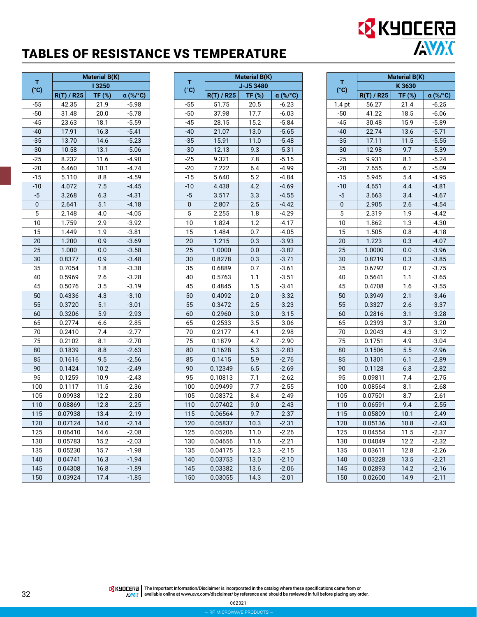## TABLES OF RESISTANCE VS TEMPERATURE

|           | <b>Material B(K)</b> |        |          |  |  |
|-----------|----------------------|--------|----------|--|--|
| T<br>(°c) |                      | 13250  |          |  |  |
|           | $R(T)$ / R25         | TF (%) | α (%/°C) |  |  |
| $-55$     | 42.35                | 21.9   | $-5.98$  |  |  |
| $-50$     | 31.48                | 20.0   | $-5.78$  |  |  |
| $-45$     | 23.63                | 18.1   | $-5.59$  |  |  |
| $-40$     | 17.91                | 16.3   | $-5.41$  |  |  |
| $-35$     | 13.70                | 14.6   | $-5.23$  |  |  |
| $-30$     | 10.58                | 13.1   | $-5.06$  |  |  |
| $-25$     | 8.232                | 11.6   | $-4.90$  |  |  |
| $-20$     | 6.460                | 10.1   | $-4.74$  |  |  |
| $-15$     | 5.110                | 8.8    | $-4.59$  |  |  |
| $-10$     | 4.072                | 7.5    | $-4.45$  |  |  |
| $-5$      | 3.268                | 6.3    | $-4.31$  |  |  |
| 0         | 2.641                | 5.1    | $-4.18$  |  |  |
| 5         | 2.148                | 4.0    | $-4.05$  |  |  |
| 10        | 1.759                | 2.9    | $-3.92$  |  |  |
| 15        | 1.449                | 1.9    | $-3.81$  |  |  |
| 20        | 1.200                | 0.9    | $-3.69$  |  |  |
| 25        | 1.000                | 0.0    | $-3.58$  |  |  |
| 30        | 0.8377               | 0.9    | $-3.48$  |  |  |
| 35        | 0.7054               | 1.8    | $-3.38$  |  |  |
| 40        | 0.5969               | 2.6    | $-3.28$  |  |  |
| 45        | 0.5076               | 3.5    | $-3.19$  |  |  |
| 50        | 0.4336               | 4.3    | $-3.10$  |  |  |
| 55        | 0.3720               | 5.1    | $-3.01$  |  |  |
| 60        | 0.3206               | 5.9    | $-2.93$  |  |  |
| 65        | 0.2774               | 6.6    | $-2.85$  |  |  |
| 70        | 0.2410               | 7.4    | $-2.77$  |  |  |
| 75        | 0.2102               | 8.1    | $-2.70$  |  |  |
| 80        | 0.1839               | 8.8    | $-2.63$  |  |  |
| 85        | 0.1616               | 9.5    | $-2.56$  |  |  |
| 90        | 0.1424               | 10.2   | $-2.49$  |  |  |
| 95        | 0.1259               | 10.9   | $-2.43$  |  |  |
| 100       | 0.1117               | 11.5   | $-2.36$  |  |  |
| 105       | 0.09938              | 12.2   | $-2.30$  |  |  |
| 110       | 0.08869              | 12.8   | $-2.25$  |  |  |
| 115       | 0.07938              | 13.4   | $-2.19$  |  |  |
| 120       | 0.07124              | 14.0   | -2.14    |  |  |
| 125       | 0.06410              | 14.6   | $-2.08$  |  |  |
| 130       | 0.05783              | 15.2   | $-2.03$  |  |  |
| 135       | 0.05230              | 15.7   | $-1.98$  |  |  |
| 140       | 0.04741              | 16.3   | $-1.94$  |  |  |
| 145       | 0.04308              | 16.8   | $-1.89$  |  |  |
| 150       | 0.03924              | 17.4   | $-1.85$  |  |  |

|                    | <b>Material B(K)</b> |           |          |  |  |
|--------------------|----------------------|-----------|----------|--|--|
| т<br>$(^{\circ}C)$ |                      | J-J5 3480 |          |  |  |
|                    | $R(T)$ / R25         | TF (%)    | α (%/°C) |  |  |
| $-55$              | 51.75                | 20.5      | $-6.23$  |  |  |
| $-50$              | 37.98                | 17.7      | $-6.03$  |  |  |
| $-45$              | 28.15                | 15.2      | $-5.84$  |  |  |
| $-40$              | 21.07                | 13.0      | $-5.65$  |  |  |
| $-35$              | 15.91                | 11.0      | $-5.48$  |  |  |
| $-30$              | 12.13                | 9.3       | $-5.31$  |  |  |
| $-25$              | 9.321                | 7.8       | $-5.15$  |  |  |
| $-20$              | 7.222                | 6.4       | -4.99    |  |  |
| -15                | 5.640                | 5.2       | $-4.84$  |  |  |
| $-10$              | 4.438                | 4.2       | $-4.69$  |  |  |
| $-5$               | 3.517                | 3.3       | $-4.55$  |  |  |
| 0                  | 2.807                | 2.5       | $-4.42$  |  |  |
| 5                  | 2.255                | 1.8       | $-4.29$  |  |  |
| 10                 | 1.824                | 1.2       | $-4.17$  |  |  |
| 15                 | 1.484                | 0.7       | $-4.05$  |  |  |
| 20                 | 1.215                | 0.3       | $-3.93$  |  |  |
| 25                 | 1.0000               | 0.0       | $-3.82$  |  |  |
| 30                 | 0.8278               | 0.3       | $-3.71$  |  |  |
| 35                 | 0.6889               | 0.7       | -3.61    |  |  |
| 40                 | 0.5763               | 1.1       | $-3.51$  |  |  |
| 45                 | 0.4845               | 1.5       | $-3.41$  |  |  |
| 50                 | 0.4092               | 2.0       | $-3.32$  |  |  |
| 55                 | 0.3472               | 2.5       | $-3.23$  |  |  |
| 60                 | 0.2960               | 3.0       | $-3.15$  |  |  |
| 65                 | 0.2533               | 3.5       | $-3.06$  |  |  |
| 70                 | 0.2177               | 4.1       | $-2.98$  |  |  |
| 75                 | 0.1879               | 4.7       | $-2.90$  |  |  |
| 80                 | 0.1628               | 5.3       | $-2.83$  |  |  |
| 85                 | 0.1415               | 5.9       | $-2.76$  |  |  |
| 90                 | 0.12349              | 6.5       | $-2.69$  |  |  |
| 95                 | 0.10813              | 7.1       | $-2.62$  |  |  |
| 100                | 0.09499              | 7.7       | $-2.55$  |  |  |
| 105                | 0.08372              | 8.4       | $-2.49$  |  |  |
| 110                | 0.07402              | 9.0       | $-2.43$  |  |  |
| 115                | 0.06564              | 9.7       | $-2.37$  |  |  |
| 120                | 0.05837              | 10.3      | $-2.31$  |  |  |
| 125                | 0.05206              | 11.0      | $-2.26$  |  |  |
| 130                | 0.04656              | 11.6      | $-2.21$  |  |  |
| 135                | 0.04175              | 12.3      | $-2.15$  |  |  |
| 140                | 0.03753              | 13.0      | $-2.10$  |  |  |
| 145                | 0.03382              | 13.6      | $-2.06$  |  |  |
| 150                | 0.03055              | 14.3      | $-2.01$  |  |  |

|                   | <b>Material B(K)</b><br>K 3630 |        |          |
|-------------------|--------------------------------|--------|----------|
| т                 |                                |        |          |
| (°c)              | R(T) / R25                     | TF (%) | α (%/°C) |
| 1.4 <sub>pt</sub> | 56.27                          | 21.4   | $-6.25$  |
| $-50$             | 41.22                          | 18.5   | $-6.06$  |
| $-45$             | 30.48                          | 15.9   | $-5.89$  |
| $-40$             | 22.74                          | 13.6   | $-5.71$  |
| $-35$             | 17.11                          | 11.5   | $-5.55$  |
| $-30$             | 12.98                          | 9.7    | $-5.39$  |
| $-25$             | 9.931                          | 8.1    | $-5.24$  |
| $-20$             | 7.655                          | 6.7    | $-5.09$  |
| $-15$             | 5.945                          | 5.4    | $-4.95$  |
| $-10$             | 4.651                          | 4.4    | $-4.81$  |
| $-5$              | 3.663                          | 3.4    | $-4.67$  |
| 0                 | 2.905                          | 2.6    | $-4.54$  |
| 5                 | 2.319                          | 1.9    | $-4.42$  |
| 10                | 1.862                          | 1.3    | $-4.30$  |
| 15                | 1.505                          | 0.8    | $-4.18$  |
| 20                | 1.223                          | 0.3    | $-4.07$  |
| 25                | 1.0000                         | 0.0    | $-3.96$  |
| 30                | 0.8219                         | 0.3    | $-3.85$  |
| 35                | 0.6792                         | 0.7    | $-3.75$  |
| 40                | 0.5641                         | 1.1    | $-3.65$  |
| 45                | 0.4708                         | 1.6    | $-3.55$  |
| 50                | 0.3949                         | 2.1    | $-3.46$  |
| 55                | 0.3327                         | 2.6    | $-3.37$  |
| 60                | 0.2816                         | 3.1    | $-3.28$  |
| 65                | 0.2393                         | 3.7    | -3.20    |
| 70                | 0.2043                         | 4.3    | $-3.12$  |
| 75                | 0.1751                         | 4.9    | $-3.04$  |
| 80                | 0.1506                         | 5.5    | $-2.96$  |
| 85                | 0.1301                         | 6.1    | $-2.89$  |
| 90                | 0.1128                         | 6.8    | $-2.82$  |
| 95                | 0.09811                        | 7.4    | $-2.75$  |
| 100               | 0.08564                        | 8.1    | $-2.68$  |
| 105               | 0.07501                        | 8.7    | $-2.61$  |
| 110               | 0.06591                        | 9.4    | $-2.55$  |
| 115               | 0.05809                        | 10.1   | $-2.49$  |
| 120               | 0.05136                        | 10.8   | -2.43    |
| 125               | 0.04554                        | 11.5   | $-2.37$  |
| 130               | 0.04049                        | 12.2   | -2.32    |
| 135               | 0.03611                        | 12.8   | $-2.26$  |
| 140               | 0.03228                        | 13.5   | $-2.21$  |
| 145               | 0.02893                        | 14.2   | $-2.16$  |
| 150               | 0.02600                        | 14.9   | $-2.11$  |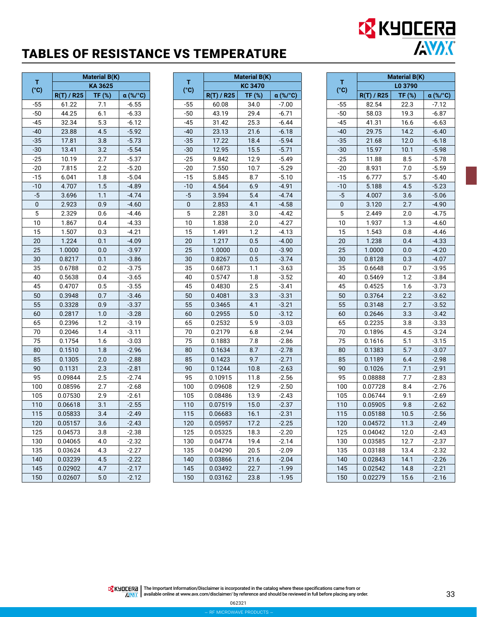## TABLES OF RESISTANCE VS TEMPERATURE

| т     | <b>Material B(K)</b> |         |          |
|-------|----------------------|---------|----------|
| (°C)  |                      | KA 3625 |          |
|       | $R(T)$ / R25         | TF (%)  | α (%/°C) |
| $-55$ | 61.22                | 7.1     | $-6.55$  |
| $-50$ | 44.25                | 6.1     | $-6.33$  |
| $-45$ | 32.34                | 5.3     | $-6.12$  |
| $-40$ | 23.88                | 4.5     | $-5.92$  |
| $-35$ | 17.81                | 3.8     | $-5.73$  |
| -30   | 13.41                | 3.2     | $-5.54$  |
| $-25$ | 10.19                | 2.7     | $-5.37$  |
| $-20$ | 7.815                | 2.2     | $-5.20$  |
| $-15$ | 6.041                | 1.8     | $-5.04$  |
| $-10$ | 4.707                | 1.5     | $-4.89$  |
| -5    | 3.696                | 1.1     | $-4.74$  |
| 0     | 2.923                | 0.9     | $-4.60$  |
| 5     | 2.329                | 0.6     | $-4.46$  |
| 10    | 1.867                | 0.4     | $-4.33$  |
| 15    | 1.507                | 0.3     | $-4.21$  |
| 20    | 1.224                | 0.1     | $-4.09$  |
| 25    | 1.0000               | 0.0     | $-3.97$  |
| 30    | 0.8217               | 0.1     | $-3.86$  |
| 35    | 0.6788               | 0.2     | $-3.75$  |
| 40    | 0.5638               | 0.4     | $-3.65$  |
| 45    | 0.4707               | 0.5     | $-3.55$  |
| 50    | 0.3948               | 0.7     | $-3.46$  |
| 55    | 0.3328               | 0.9     | $-3.37$  |
| 60    | 0.2817               | 1.0     | $-3.28$  |
| 65    | 0.2396               | 1.2     | -3.19    |
| 70    | 0.2046               | 1.4     | $-3.11$  |
| 75    | 0.1754               | 1.6     | -3.03    |
| 80    | 0.1510               | 1.8     | $-2.96$  |
| 85    | 0.1305               | 2.0     | $-2.88$  |
| 90    | 0.1131               | 2.3     | $-2.81$  |
| 95    | 0.09844              | 2.5     | $-2.74$  |
| 100   | 0.08596              | 2.7     | $-2.68$  |
| 105   | 0.07530              | 2.9     | $-2.61$  |
| 110   | 0.06618              | 3.1     | $-2.55$  |
| 115   | 0.05833              | 3.4     | $-2.49$  |
| 120   | 0.05157              | 3.6     | $-2.43$  |
| 125   | 0.04573              | 3.8     | $-2.38$  |
| 130   | 0.04065              | 4.0     | $-2.32$  |
| 135   | 0.03624              | 4.3     | $-2.27$  |
| 140   | 0.03239              | 4.5     | $-2.22$  |
| 145   | 0.02902              | 4.7     | $-2.17$  |
| 150   | 0.02607              | 5.0     | $-2.12$  |

|           | <b>Material B(K)</b> |         |          |
|-----------|----------------------|---------|----------|
| т<br>(°c) |                      | KC 3470 |          |
|           | $R(T)$ / R25         | TF (%)  | α (%/°C) |
| $-55$     | 60.08                | 34.0    | $-7.00$  |
| $-50$     | 43.19                | 29.4    | $-6.71$  |
| $-45$     | 31.42                | 25.3    | $-6.44$  |
| $-40$     | 23.13                | 21.6    | $-6.18$  |
| $-35$     | 17.22                | 18.4    | $-5.94$  |
| $-30$     | 12.95                | 15.5    | $-5.71$  |
| $-25$     | 9.842                | 12.9    | $-5.49$  |
| -20       | 7.550                | 10.7    | $-5.29$  |
| $-15$     | 5.845                | 8.7     | $-5.10$  |
| $-10$     | 4.564                | 6.9     | $-4.91$  |
| $-5$      | 3.594                | 5.4     | $-4.74$  |
| 0         | 2.853                | 4.1     | $-4.58$  |
| 5         | 2.281                | 3.0     | $-4.42$  |
| 10        | 1.838                | 2.0     | $-4.27$  |
| 15        | 1.491                | 1.2     | $-4.13$  |
| 20        | 1.217                | 0.5     | $-4.00$  |
| 25        | 1.0000               | 0.0     | $-3.90$  |
| 30        | 0.8267               | 0.5     | $-3.74$  |
| 35        | 0.6873               | 1.1     | $-3.63$  |
| 40        | 0.5747               | 1.8     | $-3.52$  |
| 45        | 0.4830               | 2.5     | $-3.41$  |
| 50        | 0.4081               | 3.3     | $-3.31$  |
| 55        | 0.3465               | 4.1     | $-3.21$  |
| 60        | 0.2955               | 5.0     | $-3.12$  |
| 65        | 0.2532               | 5.9     | $-3.03$  |
| 70        | 0.2179               | 6.8     | $-2.94$  |
| 75        | 0.1883               | 7.8     | $-2.86$  |
| 80        | 0.1634               | 8.7     | $-2.78$  |
| 85        | 0.1423               | 9.7     | $-2.71$  |
| 90        | 0.1244               | 10.8    | $-2.63$  |
| 95        | 0.10915              | 11.8    | $-2.56$  |
| 100       | 0.09608              | 12.9    | $-2.50$  |
| 105       | 0.08486              | 13.9    | $-2.43$  |
| 110       | 0.07519              | 15.0    | $-2.37$  |
| 115       | 0.06683              | 16.1    | $-2.31$  |
| 120       | 0.05957              | 17.2    | $-2.25$  |
| 125       | 0.05325              | 18.3    | $-2.20$  |
| 130       | 0.04774              | 19.4    | $-2.14$  |
| 135       | 0.04290              | 20.5    | $-2.09$  |
| 140       | 0.03866              | 21.6    | $-2.04$  |
| 145       | 0.03492              | 22.7    | $-1.99$  |
| 150       | 0.03162              | 23.8    | $-1.95$  |

|                  | <b>Material B(K)</b> |        |          |  |
|------------------|----------------------|--------|----------|--|
| т                | L0 3790              |        |          |  |
| (°C)             | R(T) / R25           | TF (%) | α (%/°C) |  |
| $-55$            | 82.54                | 22.3   | $-7.12$  |  |
| $-50$            | 58.03                | 19.3   | $-6.87$  |  |
| $-45$            | 41.31                | 16.6   | $-6.63$  |  |
| -40              | 29.75                | 14.2   | $-6.40$  |  |
| $-35$            | 21.68                | 12.0   | $-6.18$  |  |
| $-30$            | 15.97                | 10.1   | $-5.98$  |  |
| $-25$            | 11.88                | 8.5    | $-5.78$  |  |
| -20              | 8.931                | 7.0    | $-5.59$  |  |
| $-15$            | 6.777                | 5.7    | $-5.40$  |  |
| $-10$            | 5.188                | 4.5    | $-5.23$  |  |
| $-5$             | 4.007                | 3.6    | $-5.06$  |  |
| 0                | 3.120                | 2.7    | $-4.90$  |  |
| 5                | 2.449                | 2.0    | $-4.75$  |  |
| 10               | 1.937                | 1.3    | $-4.60$  |  |
| 15               | 1.543                | 0.8    | $-4.46$  |  |
| 20               | 1.238                | 0.4    | $-4.33$  |  |
| 25               | 1.0000               | 0.0    | $-4.20$  |  |
| 30               | 0.8128               | 0.3    | $-4.07$  |  |
| 35               | 0.6648               | 0.7    | $-3.95$  |  |
| 40               | 0.5469               | 1.2    | $-3.84$  |  |
| 45               | 0.4525               | 1.6    | $-3.73$  |  |
| 50               | 0.3764               | 2.2    | $-3.62$  |  |
| 55               | 0.3148               | 2.7    | $-3.52$  |  |
| 60               | 0.2646               | 3.3    | $-3.42$  |  |
| 65               | 0.2235               | 3.8    | $-3.33$  |  |
| 70               | 0.1896               | 4.5    | $-3.24$  |  |
| 75               | 0.1616               | 5.1    | $-3.15$  |  |
| 80               | 0.1383               | 5.7    | $-3.07$  |  |
| 85               | 0.1189               | 6.4    | $-2.98$  |  |
| 90               | 0.1026               | 7.1    | $-2.91$  |  |
| 95               | 0.08888              | 7.7    | $-2.83$  |  |
| 100              | 0.07728              | 8.4    | $-2.76$  |  |
| 105              | 0.06744              | 9.1    | $-2.69$  |  |
| 110              | 0.05905              | 9.8    | $-2.62$  |  |
| $\overline{115}$ | 0.05188              | 10.5   | $-2.56$  |  |
| 120              | 0.04572              | 11.3   | $-2.49$  |  |
| 125              | 0.04042              | 12.0   | $-2.43$  |  |
| 130              | 0.03585              | 12.7   | $-2.37$  |  |
| 135              | 0.03188              | 13.4   | $-2.32$  |  |
| 140              | 0.02843              | 14.1   | $-2.26$  |  |
| 145              | 0.02542              | 14.8   | $-2.21$  |  |
| 150              | 0.02279              | 15.6   | $-2.16$  |  |
|                  |                      |        |          |  |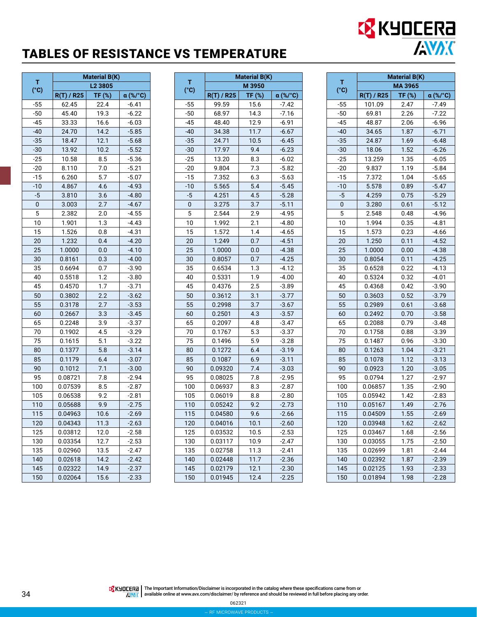## TABLES OF RESISTANCE VS TEMPERATURE

|           | <b>Material B(K)</b><br>L <sub>2</sub> 3805 |       |                 |
|-----------|---------------------------------------------|-------|-----------------|
| т<br>(°c) |                                             |       |                 |
|           | $R(T)$ / R25                                | TF(%) | $\alpha$ (%/°C) |
| $-55$     | 62.45                                       | 22.4  | $-6.41$         |
| $-50$     | 45.40                                       | 19.3  | $-6.22$         |
| -45       | 33.33                                       | 16.6  | $-6.03$         |
| -40       | 24.70                                       | 14.2  | $-5.85$         |
| $-35$     | 18.47                                       | 12.1  | $-5.68$         |
| $-30$     | 13.92                                       | 10.2  | $-5.52$         |
| $-25$     | 10.58                                       | 8.5   | $-5.36$         |
| -20       | 8.110                                       | 7.0   | $-5.21$         |
| $-15$     | 6.260                                       | 5.7   | $-5.07$         |
| $-10$     | 4.867                                       | 4.6   | $-4.93$         |
| $-5$      | 3.810                                       | 3.6   | $-4.80$         |
| 0         | 3.003                                       | 2.7   | $-4.67$         |
| 5         | 2.382                                       | 2.0   | $-4.55$         |
| 10        | 1.901                                       | 1.3   | $-4.43$         |
| 15        | 1.526                                       | 0.8   | $-4.31$         |
| 20        | 1.232                                       | 0.4   | $-4.20$         |
| 25        | 1.0000                                      | 0.0   | $-4.10$         |
| 30        | 0.8161                                      | 0.3   | $-4.00$         |
| 35        | 0.6694                                      | 0.7   | -3.90           |
| 40        | 0.5518                                      | 1.2   | -3.80           |
| 45        | 0.4570                                      | 1.7   | $-3.71$         |
| 50        | 0.3802                                      | 2.2   | $-3.62$         |
| 55        | 0.3178                                      | 2.7   | $-3.53$         |
| 60        | 0.2667                                      | 3.3   | $-3.45$         |
| 65        | 0.2248                                      | 3.9   | $-3.37$         |
| 70        | 0.1902                                      | 4.5   | $-3.29$         |
| 75        | 0.1615                                      | 5.1   | $-3.22$         |
| 80        | 0.1377                                      | 5.8   | $-3.14$         |
| 85        | 0.1179                                      | 6.4   | $-3.07$         |
| 90        | 0.1012                                      | 7.1   | $-3.00$         |
| 95        | 0.08721                                     | 7.8   | $-2.94$         |
| 100       | 0.07539                                     | 8.5   | $-2.87$         |
| 105       | 0.06538                                     | 9.2   | $-2.81$         |
| 110       | 0.05688                                     | 9.9   | $-2.75$         |
| 115       | 0.04963                                     | 10.6  | $-2.69$         |
| 120       | 0.04343                                     | 11.3  | $-2.63$         |
| 125       | 0.03812                                     | 12.0  | $-2.58$         |
| 130       | 0.03354                                     | 12.7  | $-2.53$         |
| 135       | 0.02960                                     | 13.5  | $-2.47$         |
| 140       | 0.02618                                     | 14.2  | $-2.42$         |
| 145       | 0.02322                                     | 14.9  | $-2.37$         |
| 150       | 0.02064                                     | 15.6  | $-2.33$         |

|           | <b>Material B(K)</b> |        |          |
|-----------|----------------------|--------|----------|
| т<br>(°c) |                      | M 3950 |          |
|           | $R(T)$ / R25         | TF (%) | α (%/°C) |
| $-55$     | 99.59                | 15.6   | -7.42    |
| $-50$     | 68.97                | 14.3   | $-7.16$  |
| $-45$     | 48.40                | 12.9   | $-6.91$  |
| $-40$     | 34.38                | 11.7   | $-6.67$  |
| $-35$     | 24.71                | 10.5   | $-6.45$  |
| $-30$     | 17.97                | 9.4    | $-6.23$  |
| $-25$     | 13.20                | 8.3    | $-6.02$  |
| $-20$     | 9.804                | 7.3    | $-5.82$  |
| -15       | 7.352                | 6.3    | $-5.63$  |
| $-10$     | 5.565                | 5.4    | $-5.45$  |
| -5        | 4.251                | 4.5    | $-5.28$  |
| 0         | 3.275                | 3.7    | $-5.11$  |
| 5         | 2.544                | 2.9    | $-4.95$  |
| 10        | 1.992                | 2.1    | $-4.80$  |
| 15        | 1.572                | 1.4    | $-4.65$  |
| 20        | 1.249                | 0.7    | $-4.51$  |
| 25        | 1.0000               | 0.0    | $-4.38$  |
| 30        | 0.8057               | 0.7    | $-4.25$  |
| 35        | 0.6534               | 1.3    | $-4.12$  |
| 40        | 0.5331               | 1.9    | $-4.00$  |
| 45        | 0.4376               | 2.5    | $-3.89$  |
| 50        | 0.3612               | 3.1    | $-3.77$  |
| 55        | 0.2998               | 3.7    | $-3.67$  |
| 60        | 0.2501               | 4.3    | $-3.57$  |
| 65        | 0.2097               | 4.8    | $-3.47$  |
| 70        | 0.1767               | 5.3    | $-3.37$  |
| 75        | 0.1496               | 5.9    | $-3.28$  |
| 80        | 0.1272               | 6.4    | $-3.19$  |
| 85        | 0.1087               | 6.9    | $-3.11$  |
| 90        | 0.09320              | 7.4    | $-3.03$  |
| 95        | 0.08025              | 7.8    | $-2.95$  |
| 100       | 0.06937              | 8.3    | $-2.87$  |
| 105       | 0.06019              | 8.8    | $-2.80$  |
| 110       | 0.05242              | 9.2    | $-2.73$  |
| 115       | 0.04580              | 9.6    | $-2.66$  |
| 120       | 0.04016              | 10.1   | $-2.60$  |
| 125       | 0.03532              | 10.5   | $-2.53$  |
| 130       | 0.03117              | 10.9   | $-2.47$  |
| 135       | 0.02758              | 11.3   | $-2.41$  |
| 140       | 0.02448              | 11.7   | $-2.36$  |
| 145       | 0.02179              | 12.1   | $-2.30$  |
| 150       | 0.01945              | 12.4   | $-2.25$  |

|       | <b>Material B(K)</b> |        |          |  |
|-------|----------------------|--------|----------|--|
| т     | MA 3965              |        |          |  |
| (°c)  | R(T) / R25           | TF (%) | α (%/°C) |  |
| $-55$ | 101.09               | 2.47   | $-7.49$  |  |
| $-50$ | 69.81                | 2.26   | $-7.22$  |  |
| $-45$ | 48.87                | 2.06   | $-6.96$  |  |
| $-40$ | 34.65                | 1.87   | $-6.71$  |  |
| $-35$ | 24.87                | 1.69   | $-6.48$  |  |
| $-30$ | 18.06                | 1.52   | $-6.26$  |  |
| $-25$ | 13.259               | 1.35   | $-6.05$  |  |
| $-20$ | 9.837                | 1.19   | $-5.84$  |  |
| -15   | 7.372                | 1.04   | $-5.65$  |  |
| -10   | 5.578                | 0.89   | $-5.47$  |  |
| -5    | 4.259                | 0.75   | $-5.29$  |  |
| 0     | 3.280                | 0.61   | $-5.12$  |  |
| 5     | 2.548                | 0.48   | $-4.96$  |  |
| 10    | 1.994                | 0.35   | $-4.81$  |  |
| 15    | 1.573                | 0.23   | $-4.66$  |  |
| 20    | 1.250                | 0.11   | $-4.52$  |  |
| 25    | 1.0000               | 0.00   | $-4.38$  |  |
| 30    | 0.8054               | 0.11   | $-4.25$  |  |
| 35    | 0.6528               | 0.22   | -4.13    |  |
| 40    | 0.5324               | 0.32   | $-4.01$  |  |
| 45    | 0.4368               | 0.42   | $-3.90$  |  |
| 50    | 0.3603               | 0.52   | $-3.79$  |  |
| 55    | 0.2989               | 0.61   | -3.68    |  |
| 60    | 0.2492               | 0.70   | $-3.58$  |  |
| 65    | 0.2088               | 0.79   | $-3.48$  |  |
| 70    | 0.1758               | 0.88   | $-3.39$  |  |
| 75    | 0.1487               | 0.96   | $-3.30$  |  |
| 80    | 0.1263               | 1.04   | $-3.21$  |  |
| 85    | 0.1078               | 1.12   | $-3.13$  |  |
| 90    | 0.0923               | 1.20   | $-3.05$  |  |
| 95    | 0.0794               | 1.27   | $-2.97$  |  |
| 100   | 0.06857              | 1.35   | $-2.90$  |  |
| 105   | 0.05942              | 1.42   | $-2.83$  |  |
| 110   | 0.05167              | 1.49   | $-2.76$  |  |
| 115   | 0.04509              | 1.55   | $-2.69$  |  |
| 120   | 0.03948              | 1.62   | $-2.62$  |  |
| 125   | 0.03467              | 1.68   | $-2.56$  |  |
| 130   | 0.03055              | 1.75   | $-2.50$  |  |
| 135   | 0.02699              | 1.81   | $-2.44$  |  |
| 140   | 0.02392              | 1.87   | $-2.39$  |  |
| 145   | 0.02125              | 1.93   | $-2.33$  |  |
| 150   | 0.01894              | 1.98   | $-2.28$  |  |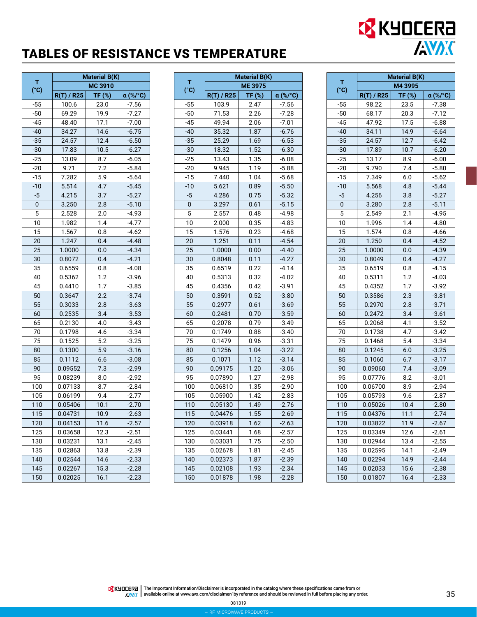## TABLES OF RESISTANCE VS TEMPERATURE

| т     | <b>Material B(K)</b> |         |          |  |
|-------|----------------------|---------|----------|--|
| (°c)  |                      | MC 3910 |          |  |
|       | <b>R(T) / R25</b>    | TF (%)  | α (%/°C) |  |
| $-55$ | 100.6                | 23.0    | $-7.56$  |  |
| $-50$ | 69.29                | 19.9    | $-7.27$  |  |
| $-45$ | 48.40                | 17.1    | $-7.00$  |  |
| $-40$ | 34.27                | 14.6    | $-6.75$  |  |
| $-35$ | 24.57                | 12.4    | $-6.50$  |  |
| -30   | 17.83                | 10.5    | $-6.27$  |  |
| $-25$ | 13.09                | 8.7     | $-6.05$  |  |
| -20   | 9.71                 | 7.2     | $-5.84$  |  |
| -15   | 7.282                | 5.9     | $-5.64$  |  |
| $-10$ | 5.514                | 4.7     | $-5.45$  |  |
| -5    | 4.215                | 3.7     | $-5.27$  |  |
| 0     | 3.250                | 2.8     | $-5.10$  |  |
| 5     | 2.528                | 2.0     | $-4.93$  |  |
| 10    | 1.982                | 1.4     | $-4.77$  |  |
| 15    | 1.567                | 0.8     | $-4.62$  |  |
| 20    | 1.247                | 0.4     | $-4.48$  |  |
| 25    | 1.0000               | 0.0     | $-4.34$  |  |
| 30    | 0.8072               | 0.4     | $-4.21$  |  |
| 35    | 0.6559               | 0.8     | $-4.08$  |  |
| 40    | 0.5362               | 1.2     | $-3.96$  |  |
| 45    | 0.4410               | 1.7     | $-3.85$  |  |
| 50    | 0.3647               | 2.2     | $-3.74$  |  |
| 55    | 0.3033               | 2.8     | $-3.63$  |  |
| 60    | 0.2535               | 3.4     | $-3.53$  |  |
| 65    | 0.2130               | 4.0     | $-3.43$  |  |
| 70    | 0.1798               | 4.6     | $-3.34$  |  |
| 75    | 0.1525               | 5.2     | $-3.25$  |  |
| 80    | 0.1300               | 5.9     | $-3.16$  |  |
| 85    | 0.1112               | 6.6     | $-3.08$  |  |
| 90    | 0.09552              | 7.3     | $-2.99$  |  |
| 95    | 0.08239              | 8.0     | $-2.92$  |  |
| 100   | 0.07133              | 8.7     | $-2.84$  |  |
| 105   | 0.06199              | 9.4     | $-2.77$  |  |
| 110   | 0.05406              | 10.1    | $-2.70$  |  |
| 115   | 0.04731              | 10.9    | $-2.63$  |  |
| 120   | 0.04153              | 11.6    | $-2.57$  |  |
| 125   | 0.03658              | 12.3    | $-2.51$  |  |
| 130   | 0.03231              | 13.1    | $-2.45$  |  |
| 135   | 0.02863              | 13.8    | -2.39    |  |
| 140   | 0.02544              | 14.6    | $-2.33$  |  |
| 145   | 0.02267              | 15.3    | $-2.28$  |  |
| 150   | 0.02025              | 16.1    | $-2.23$  |  |

|           | <b>Material B(K)</b> |          |          |  |
|-----------|----------------------|----------|----------|--|
| т<br>(°C) |                      | ME 3975  |          |  |
|           | $R(T)$ / R25         | $TF$ (%) | α (%/°C) |  |
| $-55$     | 103.9                | 2.47     | $-7.56$  |  |
| $-50$     | 71.53                | 2.26     | $-7.28$  |  |
| -45       | 49.94                | 2.06     | $-7.01$  |  |
| $-40$     | 35.32                | 1.87     | $-6.76$  |  |
| $-35$     | 25.29                | 1.69     | $-6.53$  |  |
| $-30$     | 18.32                | 1.52     | $-6.30$  |  |
| $-25$     | 13.43                | 1.35     | $-6.08$  |  |
| $-20$     | 9.945                | 1.19     | $-5.88$  |  |
| $-15$     | 7.440                | 1.04     | $-5.68$  |  |
| $-10$     | 5.621                | 0.89     | $-5.50$  |  |
| $-5$      | 4.286                | 0.75     | $-5.32$  |  |
| 0         | 3.297                | 0.61     | $-5.15$  |  |
| 5         | 2.557                | 0.48     | $-4.98$  |  |
| 10        | 2.000                | 0.35     | $-4.83$  |  |
| 15        | 1.576                | 0.23     | $-4.68$  |  |
| 20        | 1.251                | 0.11     | $-4.54$  |  |
| 25        | 1.0000               | 0.00     | $-4.40$  |  |
| 30        | 0.8048               | 0.11     | $-4.27$  |  |
| 35        | 0.6519               | 0.22     | $-4.14$  |  |
| 40        | 0.5313               | 0.32     | -4.02    |  |
| 45        | 0.4356               | 0.42     | $-3.91$  |  |
| 50        | 0.3591               | 0.52     | $-3.80$  |  |
| 55        | 0.2977               | 0.61     | $-3.69$  |  |
| 60        | 0.2481               | 0.70     | $-3.59$  |  |
| 65        | 0.2078               | 0.79     | $-3.49$  |  |
| 70        | 0.1749               | 0.88     | $-3.40$  |  |
| 75        | 0.1479               | 0.96     | $-3.31$  |  |
| 80        | 0.1256               | 1.04     | $-3.22$  |  |
| 85        | 0.1071               | 1.12     | $-3.14$  |  |
| 90        | 0.09175              | 1.20     | $-3.06$  |  |
| 95        | 0.07890              | 1.27     | $-2.98$  |  |
| 100       | 0.06810              | 1.35     | $-2.90$  |  |
| 105       | 0.05900              | 1.42     | $-2.83$  |  |
| 110       | 0.05130              | 1.49     | $-2.76$  |  |
| 115       | 0.04476              | 1.55     | $-2.69$  |  |
| 120       | 0.03918              | 1.62     | -2.63    |  |
| 125       | 0.03441              | 1.68     | $-2.57$  |  |
| 130       | 0.03031              | 1.75     | $-2.50$  |  |
| 135       | 0.02678              | 1.81     | $-2.45$  |  |
| 140       | 0.02373              | 1.87     | $-2.39$  |  |
| 145       | 0.02108              | 1.93     | $-2.34$  |  |
| 150       | 0.01878              | 1.98     | $-2.28$  |  |

|                    | <b>Material B(K)</b> |        |          |  |
|--------------------|----------------------|--------|----------|--|
| т<br>$(^{\circ}C)$ | M4 3995              |        |          |  |
|                    | $R(T)$ / R25         | TF (%) | α (%/°C) |  |
| $-55$              | 98.22                | 23.5   | $-7.38$  |  |
| $-50$              | 68.17                | 20.3   | $-7.12$  |  |
| $-45$              | 47.92                | 17.5   | $-6.88$  |  |
| $-40$              | 34.11                | 14.9   | $-6.64$  |  |
| $-35$              | 24.57                | 12.7   | $-6.42$  |  |
| $-30$              | 17.89                | 10.7   | $-6.20$  |  |
| $-25$              | 13.17                | 8.9    | $-6.00$  |  |
| $-20$              | 9.790                | 7.4    | $-5.80$  |  |
| $-15$              | 7.349                | 6.0    | -5.62    |  |
| $-10$              | 5.568                | 4.8    | $-5.44$  |  |
| $-5$               | 4.256                | 3.8    | $-5.27$  |  |
| 0                  | 3.280                | 2.8    | $-5.11$  |  |
| 5                  | 2.549                | 2.1    | $-4.95$  |  |
| 10                 | 1.996                | 1.4    | $-4.80$  |  |
| 15                 | 1.574                | 0.8    | $-4.66$  |  |
| 20                 | 1.250                | 0.4    | $-4.52$  |  |
| 25                 | 1.0000               | 0.0    | $-4.39$  |  |
| 30                 | 0.8049               | 0.4    | $-4.27$  |  |
| 35                 | 0.6519               | 0.8    | $-4.15$  |  |
| 40                 | 0.5311               | 1.2    | $-4.03$  |  |
| 45                 | 0.4352               | 1.7    | $-3.92$  |  |
| 50                 | 0.3586               | 2.3    | $-3.81$  |  |
| 55                 | 0.2970               | 2.8    | $-3.71$  |  |
| 60                 | 0.2472               | 3.4    | $-3.61$  |  |
| 65                 | 0.2068               | 4.1    | $-3.52$  |  |
| 70                 | 0.1738               | 4.7    | $-3.42$  |  |
| 75                 | 0.1468               | 5.4    | $-3.34$  |  |
| 80                 | 0.1245               | 6.0    | $-3.25$  |  |
| 85                 | 0.1060               | 6.7    | $-3.17$  |  |
| 90                 | 0.09060              | 7.4    | $-3.09$  |  |
| 95                 | 0.07776              | 8.2    | $-3.01$  |  |
| 100                | 0.06700              | 8.9    | $-2.94$  |  |
| 105                | 0.05793              | 9.6    | $-2.87$  |  |
| 110                | 0.05026              | 10.4   | $-2.80$  |  |
| 115                | 0.04376              | 11.1   | $-2.74$  |  |
| 120                | 0.03822              | 11.9   | $-2.67$  |  |
| 125                | 0.03349              | 12.6   | $-2.61$  |  |
| 130                | 0.02944              | 13.4   | $-2.55$  |  |
| 135                | 0.02595              | 14.1   | $-2.49$  |  |
| 140                | 0.02294              | 14.9   | $-2.44$  |  |
| 145                | 0.02033              | 15.6   | $-2.38$  |  |
| 150                | 0.01807              | 16.4   | $-2.33$  |  |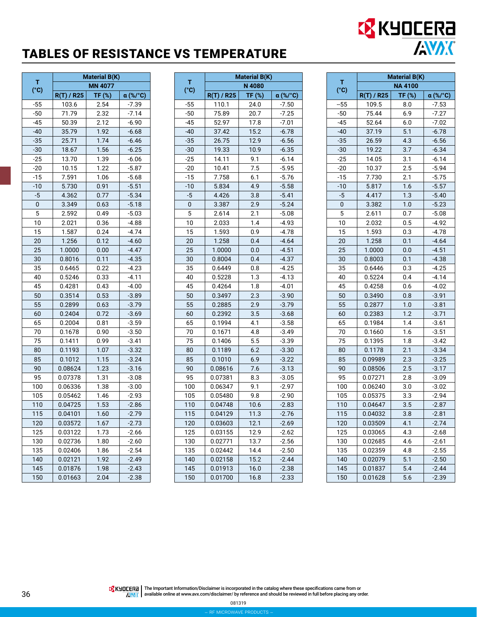## TABLES OF RESISTANCE VS TEMPERATURE

|           | <b>Material B(K)</b> |        |                 |
|-----------|----------------------|--------|-----------------|
| т<br>(°c) |                      |        |                 |
|           | $R(T)$ / R25         | TF (%) | <b>α</b> (%/°C) |
| $-55$     | 103.6                | 2.54   | $-7.39$         |
| $-50$     | 71.79                | 2.32   | $-7.14$         |
| $-45$     | 50.39                | 2.12   | $-6.90$         |
| $-40$     | 35.79                | 1.92   | $-6.68$         |
| $-35$     | 25.71                | 1.74   | $-6.46$         |
| $-30$     | 18.67                | 1.56   | $-6.25$         |
| $-25$     | 13.70                | 1.39   | $-6.06$         |
| -20       | 10.15                | 1.22   | $-5.87$         |
| $-15$     | 7.591                | 1.06   | $-5.68$         |
| $-10$     | 5.730                | 0.91   | $-5.51$         |
| $-5$      | 4.362                | 0.77   | $-5.34$         |
| 0         | 3.349                | 0.63   | $-5.18$         |
| 5         | 2.592                | 0.49   | $-5.03$         |
| 10        | 2.021                | 0.36   | $-4.88$         |
| 15        | 1.587                | 0.24   | $-4.74$         |
| 20        | 1.256                | 0.12   | $-4.60$         |
| 25        | 1.0000               | 0.00   | $-4.47$         |
| 30        | 0.8016               | 0.11   | $-4.35$         |
| 35        | 0.6465               | 0.22   | $-4.23$         |
| 40        | 0.5246               | 0.33   | $-4.11$         |
| 45        | 0.4281               | 0.43   | $-4.00$         |
| 50        | 0.3514               | 0.53   | $-3.89$         |
| 55        | 0.2899               | 0.63   | $-3.79$         |
| 60        | 0.2404               | 0.72   | $-3.69$         |
| 65        | 0.2004               | 0.81   | $-3.59$         |
| 70        | 0.1678               | 0.90   | $-3.50$         |
| 75        | 0.1411               | 0.99   | $-3.41$         |
| 80        | 0.1193               | 1.07   | $-3.32$         |
| 85        | 0.1012               | 1.15   | $-3.24$         |
| 90        | 0.08624              | 1.23   | $-3.16$         |
| 95        | 0.07378              | 1.31   | $-3.08$         |
| 100       | 0.06336              | 1.38   | $-3.00$         |
| 105       | 0.05462              | 1.46   | $-2.93$         |
| 110       | 0.04725              | 1.53   | $-2.86$         |
| 115       | 0.04101              | 1.60   | $-2.79$         |
| 120       | 0.03572              | 1.67   | $-2.73$         |
| 125       | 0.03122              | 1.73   | $-2.66$         |
| 130       | 0.02736              | 1.80   | $-2.60$         |
| 135       | 0.02406              | 1.86   | $-2.54$         |
| 140       | 0.02121              | 1.92   | $-2.49$         |
| 145       | 0.01876              | 1.98   | $-2.43$         |
| 150       | 0.01663              | 2.04   | $-2.38$         |

|           | <b>Material B(K)</b> |        |          |
|-----------|----------------------|--------|----------|
| т<br>(°C) |                      | N 4080 |          |
|           | $R(T)$ / R25         | TF (%) | α (%/°C) |
| $-55$     | 110.1                | 24.0   | $-7.50$  |
| $-50$     | 75.89                | 20.7   | $-7.25$  |
| $-45$     | 52.97                | 17.8   | $-7.01$  |
| $-40$     | 37.42                | 15.2   | $-6.78$  |
| $-35$     | 26.75                | 12.9   | $-6.56$  |
| $-30$     | 19.33                | 10.9   | $-6.35$  |
| $-25$     | 14.11                | 9.1    | $-6.14$  |
| $-20$     | 10.41                | 7.5    | $-5.95$  |
| -15       | 7.758                | 6.1    | $-5.76$  |
| $-10$     | 5.834                | 4.9    | $-5.58$  |
| $-5$      | 4.426                | 3.8    | $-5.41$  |
| 0         | 3.387                | 2.9    | $-5.24$  |
| 5         | 2.614                | 2.1    | $-5.08$  |
| 10        | 2.033                | 1.4    | $-4.93$  |
| 15        | 1.593                | 0.9    | $-4.78$  |
| 20        | 1.258                | 0.4    | $-4.64$  |
| 25        | 1.0000               | 0.0    | $-4.51$  |
| 30        | 0.8004               | 0.4    | $-4.37$  |
| 35        | 0.6449               | 0.8    | -4.25    |
| 40        | 0.5228               | 1.3    | $-4.13$  |
| 45        | 0.4264               | 1.8    | $-4.01$  |
| 50        | 0.3497               | 2.3    | $-3.90$  |
| 55        | 0.2885               | 2.9    | $-3.79$  |
| 60        | 0.2392               | 3.5    | $-3.68$  |
| 65        | 0.1994               | 4.1    | $-3.58$  |
| 70        | 0.1671               | 4.8    | $-3.49$  |
| 75        | 0.1406               | 5.5    | $-3.39$  |
| 80        | 0.1189               | 6.2    | $-3.30$  |
| 85        | 0.1010               | 6.9    | $-3.22$  |
| 90        | 0.08616              | 7.6    | $-3.13$  |
| 95        | 0.07381              | 8.3    | $-3.05$  |
| 100       | 0.06347              | 9.1    | $-2.97$  |
| 105       | 0.05480              | 9.8    | $-2.90$  |
| 110       | 0.04748              | 10.6   | $-2.83$  |
| 115       | 0.04129              | 11.3   | $-2.76$  |
| 120       | 0.03603              | 12.1   | $-2.69$  |
| 125       | 0.03155              | 12.9   | $-2.62$  |
| 130       | 0.02771              | 13.7   | $-2.56$  |
| 135       | 0.02442              | 14.4   | $-2.50$  |
| 140       | 0.02158              | 15.2   | $-2.44$  |
| 145       | 0.01913              | 16.0   | $-2.38$  |
| 150       | 0.01700              | 16.8   | $-2.33$  |

|       | <b>Material B(K)</b> |        |          |  |  |
|-------|----------------------|--------|----------|--|--|
| т     | NA 4100              |        |          |  |  |
| (°c)  | R(T) / R25           | TF (%) | α (%/°C) |  |  |
| $-55$ | 109.5                | 8.0    | $-7.53$  |  |  |
| $-50$ | 75.44                | 6.9    | $-7.27$  |  |  |
| $-45$ | 52.64                | 6.0    | $-7.02$  |  |  |
| $-40$ | 37.19                | 5.1    | $-6.78$  |  |  |
| $-35$ | 26.59                | 4.3    | $-6.56$  |  |  |
| $-30$ | 19.22                | 3.7    | $-6.34$  |  |  |
| $-25$ | 14.05                | 3.1    | $-6.14$  |  |  |
| $-20$ | 10.37                | 2.5    | $-5.94$  |  |  |
| -15   | 7.730                | 2.1    | $-5.75$  |  |  |
| $-10$ | 5.817                | 1.6    | $-5.57$  |  |  |
| -5    | 4.417                | 1.3    | $-5.40$  |  |  |
| 0     | 3.382                | 1.0    | $-5.23$  |  |  |
| 5     | 2.611                | 0.7    | $-5.08$  |  |  |
| 10    | 2.032                | 0.5    | $-4.92$  |  |  |
| 15    | 1.593                | 0.3    | $-4.78$  |  |  |
| 20    | 1.258                | 0.1    | $-4.64$  |  |  |
| 25    | 1.0000               | 0.0    | $-4.51$  |  |  |
| 30    | 0.8003               | 0.1    | $-4.38$  |  |  |
| 35    | 0.6446               | 0.3    | $-4.25$  |  |  |
| 40    | 0.5224               | 0.4    | $-4.14$  |  |  |
| 45    | 0.4258               | 0.6    | $-4.02$  |  |  |
| 50    | 0.3490               | 0.8    | $-3.91$  |  |  |
| 55    | 0.2877               | 1.0    | $-3.81$  |  |  |
| 60    | 0.2383               | 1.2    | $-3.71$  |  |  |
| 65    | 0.1984               | 1.4    | $-3.61$  |  |  |
| 70    | 0.1660               | 1.6    | $-3.51$  |  |  |
| 75    | 0.1395               | 1.8    | $-3.42$  |  |  |
| 80    | 0.1178               | 2.1    | $-3.34$  |  |  |
| 85    | 0.09989              | 2.3    | $-3.25$  |  |  |
| 90    | 0.08506              | 2.5    | $-3.17$  |  |  |
| 95    | 0.07271              | 2.8    | $-3.09$  |  |  |
| 100   | 0.06240              | 3.0    | $-3.02$  |  |  |
| 105   | 0.05375              | 3.3    | $-2.94$  |  |  |
| 110   | 0.04647              | 3.5    | $-2.87$  |  |  |
| 115   | 0.04032              | 3.8    | $-2.81$  |  |  |
| 120   | 0.03509              | 4.1    | $-2.74$  |  |  |
| 125   | 0.03065              | 4.3    | $-2.68$  |  |  |
| 130   | 0.02685              | 4.6    | $-2.61$  |  |  |
| 135   | 0.02359              | 4.8    | $-2.55$  |  |  |
| 140   | 0.02079              | 5.1    | $-2.50$  |  |  |
| 145   | 0.01837              | 5.4    | $-2.44$  |  |  |
| 150   | 0.01628              | 5.6    | $-2.39$  |  |  |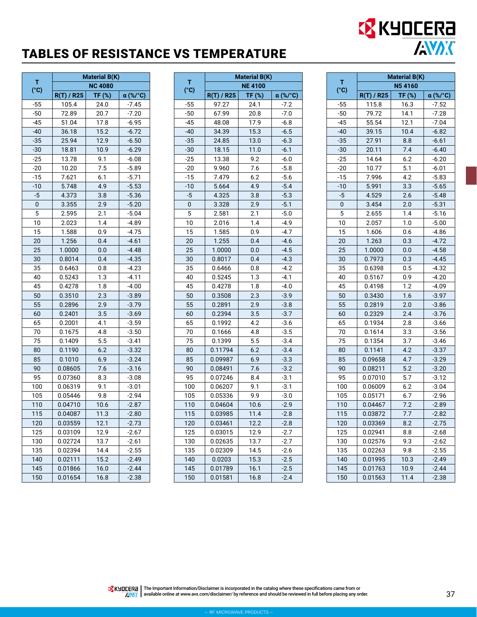## TABLES OF RESISTANCE VS TEMPERATURE

|           |            | <b>Material B(K)</b> |          |  |
|-----------|------------|----------------------|----------|--|
| т<br>(°C) |            | <b>NC 4080</b>       |          |  |
|           | R(T) / R25 | TF (%)               | α (%/°C) |  |
| $-55$     | 105.4      | 24.0                 | $-7.45$  |  |
| $-50$     | 72.89      | 20.7                 | $-7.20$  |  |
| $-45$     | 51.04      | 17.8                 | -6.95    |  |
| $-40$     | 36.18      | 15.2                 | $-6.72$  |  |
| $-35$     | 25.94      | 12.9                 | $-6.50$  |  |
| $-30$     | 18.81      | 10.9                 | $-6.29$  |  |
| $-25$     | 13.78      | 9.1                  | $-6.08$  |  |
| $-20$     | 10.20      | 7.5                  | $-5.89$  |  |
| -15       | 7.621      | 6.1                  | $-5.71$  |  |
| $-10$     | 5.748      | 4.9                  | $-5.53$  |  |
| $-5$      | 4.373      | 3.8                  | $-5.36$  |  |
| 0         | 3.355      | 2.9                  | $-5.20$  |  |
| 5         | 2.595      | 2.1                  | $-5.04$  |  |
| 10        | 2.023      | 1.4                  | $-4.89$  |  |
| 15        | 1.588      | 0.9                  | $-4.75$  |  |
| 20        | 1.256      | 0.4                  | $-4.61$  |  |
| 25        | 1.0000     | 0.0                  | $-4.48$  |  |
| 30        | 0.8014     | 0.4                  | $-4.35$  |  |
| 35        | 0.6463     | 0.8                  | $-4.23$  |  |
| 40        | 0.5243     | 1.3                  | $-4.11$  |  |
| 45        | 0.4278     | 1.8                  | $-4.00$  |  |
| 50        | 0.3510     | 2.3                  | $-3.89$  |  |
| 55        | 0.2896     | 2.9                  | $-3.79$  |  |
| 60        | 0.2401     | 3.5                  | $-3.69$  |  |
| 65        | 0.2001     | 4.1                  | $-3.59$  |  |
| 70        | 0.1675     | 4.8                  | $-3.50$  |  |
| 75        | 0.1409     | 5.5                  | $-3.41$  |  |
| 80        | 0.1190     | 6.2                  | $-3.32$  |  |
| 85        | 0.1010     | 6.9                  | $-3.24$  |  |
| 90        | 0.08605    | 7.6                  | $-3.16$  |  |
| 95        | 0.07360    | 8.3                  | $-3.08$  |  |
| 100       | 0.06319    | 9.1                  | $-3.01$  |  |
| 105       | 0.05446    | 9.8                  | $-2.94$  |  |
| 110       | 0.04710    | 10.6                 | $-2.87$  |  |
| 115       | 0.04087    | 11.3                 | $-2.80$  |  |
| 120       | 0.03559    | 12.1                 | $-2.73$  |  |
| 125       | 0.03109    | 12.9                 | $-2.67$  |  |
| 130       | 0.02724    | 13.7                 | $-2.61$  |  |
| 135       | 0.02394    | 14.4                 | $-2.55$  |  |
| 140       | 0.02111    | 15.2                 | $-2.49$  |  |
| 145       | 0.01866    | 16.0                 | $-2.44$  |  |
| 150       | 0.01654    | 16.8                 | $-2.38$  |  |

|           | <b>Material B(K)</b> |               |                 |  |
|-----------|----------------------|---------------|-----------------|--|
| т<br>(°C) |                      | <b>NE4100</b> |                 |  |
|           | $R(T)$ / R25         | TF (%)        | $\alpha$ (%/°C) |  |
| $-55$     | 97.27                | 24.1          | $-7.2$          |  |
| $-50$     | 67.99                | 20.8          | $-7.0$          |  |
| $-45$     | 48.08                | 17.9          | $-6.8$          |  |
| $-40$     | 34.39                | 15.3          | $-6.5$          |  |
| $-35$     | 24.85                | 13.0          | $-6.3$          |  |
| $-30$     | 18.15                | 11.0          | $-6.1$          |  |
| $-25$     | 13.38                | 9.2           | $-6.0$          |  |
| $-20$     | 9.960                | 7.6           | $-5.8$          |  |
| $-15$     | 7.479                | 6.2           | $-5.6$          |  |
| $-10$     | 5.664                | 4.9           | $-5.4$          |  |
| -5        | 4.325                | 3.8           | $-5.3$          |  |
| 0         | 3.328                | 2.9           | $-5.1$          |  |
| 5         | 2.581                | 2.1           | $-5.0$          |  |
| 10        | 2.016                | 1.4           | -4.9            |  |
| 15        | 1.585                | 0.9           | $-4.7$          |  |
| 20        | 1.255                | 0.4           | $-4.6$          |  |
| 25        | 1.0000               | 0.0           | $-4.5$          |  |
| 30        | 0.8017               | 0.4           | $-4.3$          |  |
| 35        | 0.6466               | 0.8           | $-4.2$          |  |
| 40        | 0.5245               | 1.3           | $-4.1$          |  |
| 45        | 0.4278               | 1.8           | $-4.0$          |  |
| 50        | 0.3508               | 2.3           | $-3.9$          |  |
| 55        | 0.2891               | 2.9           | $-3.8$          |  |
| 60        | 0.2394               | 3.5           | $-3.7$          |  |
| 65        | 0.1992               | 4.2           | $-3.6$          |  |
| 70        | 0.1666               | 4.8           | $-3.5$          |  |
| 75        | 0.1399               | 5.5           | $-3.4$          |  |
| 80        | 0.11794              | 6.2           | $-3.4$          |  |
| 85        | 0.09987              | 6.9           | $-3.3$          |  |
| 90        | 0.08491              | 7.6           | $-3.2$          |  |
| 95        | 0.07246              | 8.4           | $-3.1$          |  |
| 100       | 0.06207              | 9.1           | $-3.1$          |  |
| 105       | 0.05336              | 9.9           | $-3.0$          |  |
| 110       | 0.04604              | 10.6          | $-2.9$          |  |
| 115       | 0.03985              | 11.4          | $-2.8$          |  |
| 120       | 0.03461              | 12.2          | $-2.8$          |  |
| 125       | 0.03015              | 12.9          | $-2.7$          |  |
| 130       | 0.02635              | 13.7          | $-2.7$          |  |
| 135       | 0.02309              | 14.5          | $-2.6$          |  |
| 140       | 0.0203               | 15.3          | $-2.5$          |  |
| 145       | 0.01789              | 16.1          | $-2.5$          |  |
| 150       | 0.01581              | 16.8          | $-2.4$          |  |

|       | <b>Material B(K)</b> |        |          |  |
|-------|----------------------|--------|----------|--|
| т     |                      | N54160 |          |  |
| (°C)  | R(T) / R25           | TF (%) | α (%/°C) |  |
| $-55$ | 115.8                | 16.3   | $-7.52$  |  |
| $-50$ | 79.72                | 14.1   | $-7.28$  |  |
| $-45$ | 55.54                | 12.1   | $-7.04$  |  |
| $-40$ | 39.15                | 10.4   | $-6.82$  |  |
| $-35$ | 27.91                | 8.8    | $-6.61$  |  |
| $-30$ | 20.11                | 7.4    | $-6.40$  |  |
| $-25$ | 14.64                | 6.2    | $-6.20$  |  |
| $-20$ | 10.77                | 5.1    | $-6.01$  |  |
| $-15$ | 7.996                | 4.2    | $-5.83$  |  |
| $-10$ | 5.991                | 3.3    | $-5.65$  |  |
| $-5$  | 4.529                | 2.6    | $-5.48$  |  |
| 0     | 3.454                | 2.0    | $-5.31$  |  |
| 5     | 2.655                | 1.4    | $-5.16$  |  |
| 10    | 2.057                | 1.0    | $-5.00$  |  |
| 15    | 1.606                | 0.6    | $-4.86$  |  |
| 20    | 1.263                | 0.3    | $-4.72$  |  |
| 25    | 1.0000               | 0.0    | $-4.58$  |  |
| 30    | 0.7973               | 0.3    | $-4.45$  |  |
| 35    | 0.6398               | 0.5    | $-4.32$  |  |
| 40    | 0.5167               | 0.9    | $-4.20$  |  |
| 45    | 0.4198               | 1.2    | $-4.09$  |  |
| 50    | 0.3430               | 1.6    | $-3.97$  |  |
| 55    | 0.2819               | 2.0    | $-3.86$  |  |
| 60    | 0.2329               | 2.4    | $-3.76$  |  |
| 65    | 0.1934               | 2.8    | $-3.66$  |  |
| 70    | 0.1614               | 3.3    | $-3.56$  |  |
| 75    | 0.1354               | 3.7    | $-3.46$  |  |
| 80    | 0.1141               | 4.2    | $-3.37$  |  |
| 85    | 0.09658              | 4.7    | $-3.29$  |  |
| 90    | 0.08211              | 5.2    | $-3.20$  |  |
| 95    | 0.07010              | 5.7    | $-3.12$  |  |
| 100   | 0.06009              | 6.2    | $-3.04$  |  |
| 105   | 0.05171              | 6.7    | $-2.96$  |  |
| 110   | 0.04467              | 7.2    | $-2.89$  |  |
| 115   | 0.03872              | 7.7    | $-2.82$  |  |
| 120   | 0.03369              | 8.2    | $-2.75$  |  |
| 125   | 0.02941              | 8.8    | $-2.68$  |  |
| 130   | 0.02576              | 9.3    | $-2.62$  |  |
| 135   | 0.02263              | 9.8    | $-2.55$  |  |
| 140   | 0.01995              | 10.3   | $-2.49$  |  |
| 145   | 0.01763              | 10.9   | $-2.44$  |  |
| 150   | 0.01563              | 11.4   | $-2.38$  |  |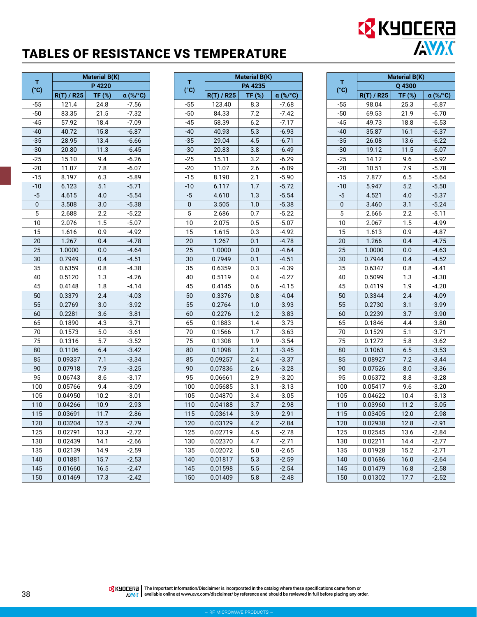## TABLES OF RESISTANCE VS TEMPERATURE

|       | <b>Material B(K)</b> |        |          |
|-------|----------------------|--------|----------|
| т     | P4220<br>(°c)        |        |          |
|       | $R(T)$ / R25         | TF (%) | α (%/°C) |
| $-55$ | 121.4                | 24.8   | $-7.56$  |
| $-50$ | 83.35                | 21.5   | $-7.32$  |
| $-45$ | 57.92                | 18.4   | $-7.09$  |
| $-40$ | 40.72                | 15.8   | $-6.87$  |
| $-35$ | 28.95                | 13.4   | $-6.66$  |
| $-30$ | 20.80                | 11.3   | $-6.45$  |
| $-25$ | 15.10                | 9.4    | $-6.26$  |
| $-20$ | 11.07                | 7.8    | $-6.07$  |
| $-15$ | 8.197                | 6.3    | $-5.89$  |
| $-10$ | 6.123                | 5.1    | $-5.71$  |
| -5    | 4.615                | 4.0    | $-5.54$  |
| 0     | 3.508                | 3.0    | $-5.38$  |
| 5     | 2.688                | 2.2    | $-5.22$  |
| 10    | 2.076                | 1.5    | $-5.07$  |
| 15    | 1.616                | 0.9    | $-4.92$  |
| 20    | 1.267                | 0.4    | $-4.78$  |
| 25    | 1.0000               | 0.0    | $-4.64$  |
| 30    | 0.7949               | 0.4    | $-4.51$  |
| 35    | 0.6359               | 0.8    | $-4.38$  |
| 40    | 0.5120               | 1.3    | $-4.26$  |
| 45    | 0.4148               | 1.8    | -4.14    |
| 50    | 0.3379               | 2.4    | $-4.03$  |
| 55    | 0.2769               | 3.0    | $-3.92$  |
| 60    | 0.2281               | 3.6    | $-3.81$  |
| 65    | 0.1890               | 4.3    | $-3.71$  |
| 70    | 0.1573               | 5.0    | $-3.61$  |
| 75    | 0.1316               | 5.7    | $-3.52$  |
| 80    | 0.1106               | 6.4    | $-3.42$  |
| 85    | 0.09337              | 7.1    | $-3.34$  |
| 90    | 0.07918              | 7.9    | $-3.25$  |
| 95    | 0.06743              | 8.6    | $-3.17$  |
| 100   | 0.05766              | 9.4    | $-3.09$  |
| 105   | 0.04950              | 10.2   | $-3.01$  |
| 110   | 0.04266              | 10.9   | $-2.93$  |
| 115   | 0.03691              | 11.7   | $-2.86$  |
| 120   | 0.03204              | 12.5   | $-2.79$  |
| 125   | 0.02791              | 13.3   | $-2.72$  |
| 130   | 0.02439              | 14.1   | $-2.66$  |
| 135   | 0.02139              | 14.9   | $-2.59$  |
| 140   | 0.01881              | 15.7   | $-2.53$  |
| 145   | 0.01660              | 16.5   | $-2.47$  |
| 150   | 0.01469              | 17.3   | $-2.42$  |

|           | <b>Material B(K)</b> |        |          |
|-----------|----------------------|--------|----------|
| т<br>(°C) |                      |        |          |
|           | R(T) / R25           | TF (%) | α (%/°C) |
| $-55$     | 123.40               | 8.3    | $-7.68$  |
| $-50$     | 84.33                | 7.2    | $-7.42$  |
| $-45$     | 58.39                | 6.2    | $-7.17$  |
| $-40$     | 40.93                | 5.3    | $-6.93$  |
| $-35$     | 29.04                | 4.5    | $-6.71$  |
| $-30$     | 20.83                | 3.8    | $-6.49$  |
| $-25$     | 15.11                | 3.2    | $-6.29$  |
| $-20$     | 11.07                | 2.6    | $-6.09$  |
| $-15$     | 8.190                | 2.1    | $-5.90$  |
| $-10$     | 6.117                | 1.7    | $-5.72$  |
| $-5$      | 4.610                | 1.3    | $-5.54$  |
| 0         | 3.505                | 1.0    | $-5.38$  |
| 5         | 2.686                | 0.7    | $-5.22$  |
| 10        | 2.075                | 0.5    | $-5.07$  |
| 15        | 1.615                | 0.3    | -4.92    |
| 20        | 1.267                | 0.1    | $-4.78$  |
| 25        | 1.0000               | 0.0    | $-4.64$  |
| 30        | 0.7949               | 0.1    | $-4.51$  |
| 35        | 0.6359               | 0.3    | $-4.39$  |
| 40        | 0.5119               | 0.4    | $-4.27$  |
| 45        | 0.4145               | 0.6    | $-4.15$  |
| 50        | 0.3376               | 0.8    | $-4.04$  |
| 55        | 0.2764               | 1.0    | $-3.93$  |
| 60        | 0.2276               | 1.2    | $-3.83$  |
| 65        | 0.1883               | 1.4    | $-3.73$  |
| 70        | 0.1566               | 1.7    | -3.63    |
| 75        | 0.1308               | 1.9    | $-3.54$  |
| 80        | 0.1098               | 2.1    | $-3.45$  |
| 85        | 0.09257              | 2.4    | $-3.37$  |
| 90        | 0.07836              | 2.6    | $-3.28$  |
| 95        | 0.06661              | 2.9    | $-3.20$  |
| 100       | 0.05685              | 3.1    | $-3.13$  |
| 105       | 0.04870              | 3.4    | $-3.05$  |
| 110       | 0.04188              | 3.7    | $-2.98$  |
| 115       | 0.03614              | 3.9    | $-2.91$  |
| 120       | 0.03129              | 4.2    | -2.84    |
| 125       | 0.02719              | 4.5    | -2.78    |
| 130       | 0.02370              | 4.7    | $-2.71$  |
| 135       | 0.02072              | 5.0    | $-2.65$  |
| 140       | 0.01817              | 5.3    | $-2.59$  |
| 145       | 0.01598              | 5.5    | $-2.54$  |
| 150       | 0.01409              | 5.8    | $-2.48$  |

|           | Material B(K) |          |          |  |
|-----------|---------------|----------|----------|--|
| т<br>(°c) | Q 4300        |          |          |  |
|           | $R(T)$ / R25  | $TF$ (%) | α (%/°C) |  |
| $-55$     | 98.04         | 25.3     | $-6.87$  |  |
| $-50$     | 69.53         | 21.9     | $-6.70$  |  |
| $-45$     | 49.73         | 18.8     | $-6.53$  |  |
| $-40$     | 35.87         | 16.1     | $-6.37$  |  |
| $-35$     | 26.08         | 13.6     | $-6.22$  |  |
| $-30$     | 19.12         | 11.5     | $-6.07$  |  |
| $-25$     | 14.12         | 9.6      | $-5.92$  |  |
| $-20$     | 10.51         | 7.9      | $-5.78$  |  |
| $-15$     | 7.877         | 6.5      | $-5.64$  |  |
| $-10$     | 5.947         | 5.2      | $-5.50$  |  |
| $-5$      | 4.521         | 4.0      | $-5.37$  |  |
| 0         | 3.460         | 3.1      | $-5.24$  |  |
| 5         | 2.666         | 2.2      | $-5.11$  |  |
| 10        | 2.067         | 1.5      | $-4.99$  |  |
| 15        | 1.613         | 0.9      | $-4.87$  |  |
| 20        | 1.266         | 0.4      | $-4.75$  |  |
| 25        | 1.0000        | 0.0      | $-4.63$  |  |
| 30        | 0.7944        | 0.4      | $-4.52$  |  |
| 35        | 0.6347        | 0.8      | $-4.41$  |  |
| 40        | 0.5099        | 1.3      | $-4.30$  |  |
| 45        | 0.4119        | 1.9      | $-4.20$  |  |
| 50        | 0.3344        | 2.4      | $-4.09$  |  |
| 55        | 0.2730        | 3.1      | $-3.99$  |  |
| 60        | 0.2239        | 3.7      | $-3.90$  |  |
| 65        | 0.1846        | 4.4      | $-3.80$  |  |
| 70        | 0.1529        | 5.1      | $-3.71$  |  |
| 75        | 0.1272        | 5.8      | $-3.62$  |  |
| 80        | 0.1063        | 6.5      | $-3.53$  |  |
| 85        | 0.08927       | 7.2      | $-3.44$  |  |
| 90        | 0.07526       | 8.0      | $-3.36$  |  |
| 95        | 0.06372       | 8.8      | $-3.28$  |  |
| 100       | 0.05417       | 9.6      | $-3.20$  |  |
| 105       | 0.04622       | 10.4     | -3.13    |  |
| 110       | 0.03960       | 11.2     | $-3.05$  |  |
| 115       | 0.03405       | 12.0     | $-2.98$  |  |
| 120       | 0.02938       | 12.8     | $-2.91$  |  |
| 125       | 0.02545       | 13.6     | $-2.84$  |  |
| 130       | 0.02211       | 14.4     | $-2.77$  |  |
| 135       | 0.01928       | 15.2     | $-2.71$  |  |
| 140       | 0.01686       | 16.0     | $-2.64$  |  |
| 145       | 0.01479       | 16.8     | $-2.58$  |  |
| 150       | 0.01302       | 17.7     | $-2.52$  |  |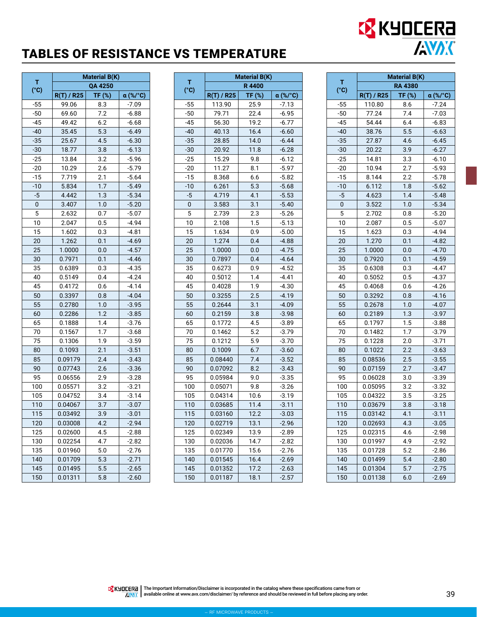## TABLES OF RESISTANCE VS TEMPERATURE

|                    | <b>Material B(K)</b> |               |          |
|--------------------|----------------------|---------------|----------|
| т<br>$(^{\circ}C)$ |                      |               |          |
|                    | R(T) / R25           | <b>TF (%)</b> | α (%/°C) |
| $-55$              | 99.06                | 8.3           | $-7.09$  |
| $-50$              | 69.60                | 7.2           | $-6.88$  |
| $-45$              | 49.42                | 6.2           | $-6.68$  |
| $-40$              | 35.45                | 5.3           | $-6.49$  |
| -35                | 25.67                | 4.5           | $-6.30$  |
| $-30$              | 18.77                | 3.8           | $-6.13$  |
| $-25$              | 13.84                | 3.2           | $-5.96$  |
| $-20$              | 10.29                | 2.6           | $-5.79$  |
| -15                | 7.719                | 2.1           | $-5.64$  |
| $-10$              | 5.834                | 1.7           | $-5.49$  |
| $-5$               | 4.442                | 1.3           | $-5.34$  |
| 0                  | 3.407                | 1.0           | $-5.20$  |
| 5                  | 2.632                | 0.7           | $-5.07$  |
| 10                 | 2.047                | 0.5           | $-4.94$  |
| 15                 | 1.602                | 0.3           | $-4.81$  |
| 20                 | 1.262                | 0.1           | $-4.69$  |
| 25                 | 1.0000               | 0.0           | $-4.57$  |
| 30                 | 0.7971               | 0.1           | $-4.46$  |
| 35                 | 0.6389               | 0.3           | $-4.35$  |
| 40                 | 0.5149               | 0.4           | $-4.24$  |
| 45                 | 0.4172               | 0.6           | $-4.14$  |
| 50                 | 0.3397               | 0.8           | $-4.04$  |
| 55                 | 0.2780               | 1.0           | $-3.95$  |
| 60                 | 0.2286               | 1.2           | $-3.85$  |
| 65                 | 0.1888               | 1.4           | $-3.76$  |
| 70                 | 0.1567               | 1.7           | $-3.68$  |
| 75                 | 0.1306               | 1.9           | $-3.59$  |
| 80                 | 0.1093               | 2.1           | $-3.51$  |
| 85                 | 0.09179              | 2.4           | $-3.43$  |
| 90                 | 0.07743              | 2.6           | $-3.36$  |
| 95                 | 0.06556              | 2.9           | $-3.28$  |
| 100                | 0.05571              | 3.2           | $-3.21$  |
| 105                | 0.04752              | 3.4           | $-3.14$  |
| 110                | 0.04067              | 3.7           | $-3.07$  |
| 115                | 0.03492              | 3.9           | $-3.01$  |
| 120                | 0.03008              | 4.2           | $-2.94$  |
| 125                | 0.02600              | 4.5           | -2.88    |
| 130                | 0.02254              | 4.7           | $-2.82$  |
| 135                | 0.01960              | 5.0           | $-2.76$  |
| 140                | 0.01709              | 5.3           | $-2.71$  |
| 145                | 0.01495              | 5.5           | $-2.65$  |
| 150                | 0.01311              | 5.8           | $-2.60$  |

|           | <b>Material B(K)</b> |              |          |
|-----------|----------------------|--------------|----------|
| т<br>(°C) |                      | <b>R4400</b> |          |
|           | $R(T)$ / R25         | TF (%)       | α (%/°C) |
| $-55$     | 113.90               | 25.9         | $-7.13$  |
| $-50$     | 79.71                | 22.4         | $-6.95$  |
| $-45$     | 56.30                | 19.2         | $-6.77$  |
| $-40$     | 40.13                | 16.4         | $-6.60$  |
| $-35$     | 28.85                | 14.0         | $-6.44$  |
| $-30$     | 20.92                | 11.8         | $-6.28$  |
| $-25$     | 15.29                | 9.8          | $-6.12$  |
| $-20$     | 11.27                | 8.1          | $-5.97$  |
| $-15$     | 8.368                | 6.6          | $-5.82$  |
| $-10$     | 6.261                | 5.3          | $-5.68$  |
| $-5$      | 4.719                | 4.1          | $-5.53$  |
| 0         | 3.583                | 3.1          | $-5.40$  |
| 5         | 2.739                | 2.3          | $-5.26$  |
| 10        | 2.108                | 1.5          | $-5.13$  |
| 15        | 1.634                | 0.9          | $-5.00$  |
| 20        | 1.274                | 0.4          | $-4.88$  |
| 25        | 1.0000               | 0.0          | $-4.75$  |
| 30        | 0.7897               | 0.4          | $-4.64$  |
| 35        | 0.6273               | 0.9          | $-4.52$  |
| 40        | 0.5012               | 1.4          | $-4.41$  |
| 45        | 0.4028               | 1.9          | $-4.30$  |
| 50        | 0.3255               | 2.5          | $-4.19$  |
| 55        | 0.2644               | 3.1          | $-4.09$  |
| 60        | 0.2159               | 3.8          | $-3.98$  |
| 65        | 0.1772               | 4.5          | -3.89    |
| 70        | 0.1462               | 5.2          | $-3.79$  |
| 75        | 0.1212               | 5.9          | $-3.70$  |
| 80        | 0.1009               | 6.7          | $-3.60$  |
| 85        | 0.08440              | 7.4          | $-3.52$  |
| 90        | 0.07092              | 8.2          | $-3.43$  |
| 95        | 0.05984              | 9.0          | $-3.35$  |
| 100       | 0.05071              | 9.8          | $-3.26$  |
| 105       | 0.04314              | 10.6         | $-3.19$  |
| 110       | 0.03685              | 11.4         | $-3.11$  |
| 115       | 0.03160              | 12.2         | $-3.03$  |
| 120       | 0.02719              | 13.1         | -2.96    |
| 125       | 0.02349              | 13.9         | $-2.89$  |
| 130       | 0.02036              | 14.7         | $-2.82$  |
| 135       | 0.01770              | 15.6         | $-2.76$  |
| 140       | 0.01545              | 16.4         | $-2.69$  |
| 145       | 0.01352              | 17.2         | $-2.63$  |
| 150       | 0.01187              | 18.1         | $-2.57$  |

|           | <b>Material B(K)</b> |        |          |  |
|-----------|----------------------|--------|----------|--|
| т<br>(°c) | <b>RA 4380</b>       |        |          |  |
|           | $R(T)$ / R25         | TF (%) | α (%/°C) |  |
| $-55$     | 110.80               | 8.6    | $-7.24$  |  |
| $-50$     | 77.24                | 7.4    | $-7.03$  |  |
| $-45$     | 54.44                | 6.4    | $-6.83$  |  |
| $-40$     | 38.76                | 5.5    | $-6.63$  |  |
| $-35$     | 27.87                | 4.6    | $-6.45$  |  |
| $-30$     | 20.22                | 3.9    | $-6.27$  |  |
| $-25$     | 14.81                | 3.3    | $-6.10$  |  |
| -20       | 10.94                | 2.7    | $-5.93$  |  |
| $-15$     | 8.144                | 2.2    | $-5.78$  |  |
| -10       | 6.112                | 1.8    | $-5.62$  |  |
| $-5$      | 4.623                | 1.4    | $-5.48$  |  |
| 0         | 3.522                | 1.0    | $-5.34$  |  |
| 5         | 2.702                | 0.8    | $-5.20$  |  |
| 10        | 2.087                | 0.5    | $-5.07$  |  |
| 15        | 1.623                | 0.3    | $-4.94$  |  |
| 20        | 1.270                | 0.1    | $-4.82$  |  |
| 25        | 1.0000               | 0.0    | $-4.70$  |  |
| 30        | 0.7920               | 0.1    | $-4.59$  |  |
| 35        | 0.6308               | 0.3    | $-4.47$  |  |
| 40        | 0.5052               | 0.5    | $-4.37$  |  |
| 45        | 0.4068               | 0.6    | $-4.26$  |  |
| 50        | 0.3292               | 0.8    | $-4.16$  |  |
| 55        | 0.2678               | 1.0    | $-4.07$  |  |
| 60        | 0.2189               | 1.3    | $-3.97$  |  |
| 65        | 0.1797               | 1.5    | $-3.88$  |  |
| 70        | 0.1482               | 1.7    | $-3.79$  |  |
| 75        | 0.1228               | 2.0    | $-3.71$  |  |
| 80        | 0.1022               | 2.2    | $-3.63$  |  |
| 85        | 0.08536              | 2.5    | $-3.55$  |  |
| 90        | 0.07159              | 2.7    | $-3.47$  |  |
| 95        | 0.06028              | 3.0    | $-3.39$  |  |
| 100       | 0.05095              | 3.2    | $-3.32$  |  |
| 105       | 0.04322              | 3.5    | $-3.25$  |  |
| 110       | 0.03679              | 3.8    | $-3.18$  |  |
| 115       | 0.03142              | 4.1    | $-3.11$  |  |
| 120       | 0.02693              | 4.3    | $-3.05$  |  |
| 125       | 0.02315              | 4.6    | -2.98    |  |
| 130       | 0.01997              | 4.9    | -2.92    |  |
| 135       | 0.01728              | 5.2    | $-2.86$  |  |
| 140       | 0.01499              | 5.4    | $-2.80$  |  |
| 145       | 0.01304              | 5.7    | $-2.75$  |  |
| 150       | 0.01138              | 6.0    | $-2.69$  |  |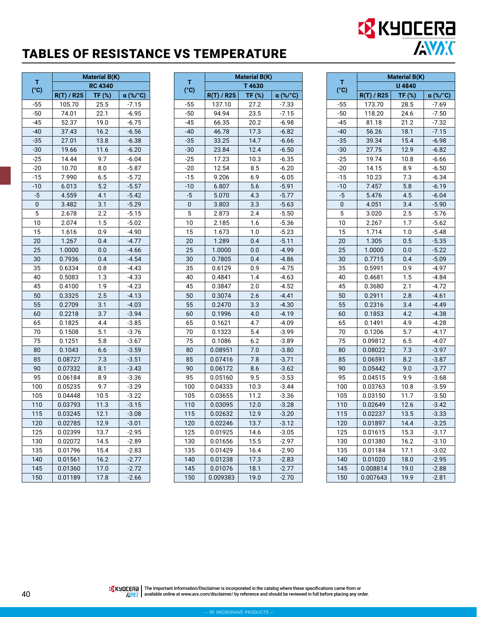## TABLES OF RESISTANCE VS TEMPERATURE

|       | <b>Material B(K)</b>   |        |          |
|-------|------------------------|--------|----------|
| т     | <b>RC 4340</b><br>(°c) |        |          |
|       | R(T) / R25             | TF (%) | α (%/°C) |
| $-55$ | 105.70                 | 25.5   | $-7.15$  |
| -50   | 74.01                  | 22.1   | $-6.95$  |
| $-45$ | 52.37                  | 19.0   | $-6.75$  |
| $-40$ | 37.43                  | 16.2   | $-6.56$  |
| $-35$ | 27.01                  | 13.8   | $-6.38$  |
| $-30$ | 19.66                  | 11.6   | $-6.20$  |
| $-25$ | 14.44                  | 9.7    | $-6.04$  |
| $-20$ | 10.70                  | 8.0    | $-5.87$  |
| $-15$ | 7.990                  | 6.5    | $-5.72$  |
| $-10$ | 6.013                  | 5.2    | $-5.57$  |
| -5    | 4.559                  | 4.1    | $-5.42$  |
| 0     | 3.482                  | 3.1    | $-5.29$  |
| 5     | 2.678                  | 2.2    | $-5.15$  |
| 10    | 2.074                  | 1.5    | $-5.02$  |
| 15    | 1.616                  | 0.9    | $-4.90$  |
| 20    | 1.267                  | 0.4    | $-4.77$  |
| 25    | 1.0000                 | 0.0    | -4.66    |
| 30    | 0.7936                 | 0.4    | $-4.54$  |
| 35    | 0.6334                 | 0.8    | $-4.43$  |
| 40    | 0.5083                 | 1.3    | $-4.33$  |
| 45    | 0.4100                 | 1.9    | -4.23    |
| 50    | 0.3325                 | 2.5    | $-4.13$  |
| 55    | 0.2709                 | 3.1    | $-4.03$  |
| 60    | 0.2218                 | 3.7    | $-3.94$  |
| 65    | 0.1825                 | 4.4    | $-3.85$  |
| 70    | 0.1508                 | 5.1    | $-3.76$  |
| 75    | 0.1251                 | 5.8    | $-3.67$  |
| 80    | 0.1043                 | 6.6    | $-3.59$  |
| 85    | 0.08727                | 7.3    | $-3.51$  |
| 90    | 0.07332                | 8.1    | $-3.43$  |
| 95    | 0.06184                | 8.9    | $-3.36$  |
| 100   | 0.05235                | 9.7    | $-3.29$  |
| 105   | 0.04448                | 10.5   | $-3.22$  |
| 110   | 0.03793                | 11.3   | $-3.15$  |
| 115   | 0.03245                | 12.1   | $-3.08$  |
| 120   | 0.02785                | 12.9   | $-3.01$  |
| 125   | 0.02399                | 13.7   | -2.95    |
| 130   | 0.02072                | 14.5   | -2.89    |
| 135   | 0.01796                | 15.4   | $-2.83$  |
| 140   | 0.01561                | 16.2   | $-2.77$  |
| 145   | 0.01360                | 17.0   | $-2.72$  |
| 150   | 0.01189                | 17.8   | $-2.66$  |

|           | <b>Material B(K)</b> |        |          |
|-----------|----------------------|--------|----------|
| т<br>(°C) |                      | T4630  |          |
|           | R(T) / R25           | TF (%) | α (%/°C) |
| $-55$     | 137.10               | 27.2   | $-7.33$  |
| $-50$     | 94.94                | 23.5   | $-7.15$  |
| $-45$     | 66.35                | 20.2   | $-6.98$  |
| $-40$     | 46.78                | 17.3   | $-6.82$  |
| $-35$     | 33.25                | 14.7   | $-6.66$  |
| -30       | 23.84                | 12.4   | $-6.50$  |
| $-25$     | 17.23                | 10.3   | $-6.35$  |
| -20       | 12.54                | 8.5    | $-6.20$  |
| $-15$     | 9.206                | 6.9    | $-6.05$  |
| $-10$     | 6.807                | 5.6    | $-5.91$  |
| $-5$      | 5.070                | 4.3    | $-5.77$  |
| 0         | 3.803                | 3.3    | $-5.63$  |
| 5         | 2.873                | 2.4    | $-5.50$  |
| 10        | 2.185                | 1.6    | $-5.36$  |
| 15        | 1.673                | 1.0    | $-5.23$  |
| 20        | 1.289                | 0.4    | $-5.11$  |
| 25        | 1.0000               | 0.0    | $-4.99$  |
| 30        | 0.7805               | 0.4    | $-4.86$  |
| 35        | 0.6129               | 0.9    | $-4.75$  |
| 40        | 0.4841               | 1.4    | -4.63    |
| 45        | 0.3847               | 2.0    | $-4.52$  |
| 50        | 0.3074               | 2.6    | $-4.41$  |
| 55        | 0.2470               | 3.3    | $-4.30$  |
| 60        | 0.1996               | 4.0    | $-4.19$  |
| 65        | 0.1621               | 4.7    | $-4.09$  |
| 70        | 0.1323               | 5.4    | $-3.99$  |
| 75        | 0.1086               | 6.2    | $-3.89$  |
| 80        | 0.08951              | 7.0    | $-3.80$  |
| 85        | 0.07416              | 7.8    | $-3.71$  |
| 90        | 0.06172              | 8.6    | $-3.62$  |
| 95        | 0.05160              | 9.5    | $-3.53$  |
| 100       | 0.04333              | 10.3   | $-3.44$  |
| 105       | 0.03655              | 11.2   | $-3.36$  |
| 110       | 0.03095              | 12.0   | $-3.28$  |
| 115       | 0.02632              | 12.9   | $-3.20$  |
| 120       | 0.02246              | 13.7   | $-3.12$  |
| 125       | 0.01925              | 14.6   | $-3.05$  |
| 130       | 0.01656              | 15.5   | $-2.97$  |
| 135       | 0.01429              | 16.4   | $-2.90$  |
| 140       | 0.01238              | 17.3   | $-2.83$  |
| 145       | 0.01076              | 18.1   | $-2.77$  |
| 150       | 0.009383             | 19.0   | $-2.70$  |

|       | <b>Material B(K)</b> |        |          |  |
|-------|----------------------|--------|----------|--|
| т     | U 4840               |        |          |  |
| (°c)  | R(T) / R25           | TF (%) | α (%/°C) |  |
| $-55$ | 173.70               | 28.5   | $-7.69$  |  |
| $-50$ | 118.20               | 24.6   | $-7.50$  |  |
| $-45$ | 81.18                | 21.2   | $-7.32$  |  |
| $-40$ | 56.26                | 18.1   | $-7.15$  |  |
| $-35$ | 39.34                | 15.4   | $-6.98$  |  |
| $-30$ | 27.75                | 12.9   | $-6.82$  |  |
| $-25$ | 19.74                | 10.8   | $-6.66$  |  |
| $-20$ | 14.15                | 8.9    | $-6.50$  |  |
| $-15$ | 10.23                | 7.3    | $-6.34$  |  |
| $-10$ | 7.457                | 5.8    | $-6.19$  |  |
| $-5$  | 5.476                | 4.5    | $-6.04$  |  |
| 0     | 4.051                | 3.4    | $-5.90$  |  |
| 5     | 3.020                | 2.5    | $-5.76$  |  |
| 10    | 2.267                | 1.7    | -5.62    |  |
| 15    | 1.714                | 1.0    | $-5.48$  |  |
| 20    | 1.305                | 0.5    | $-5.35$  |  |
| 25    | 1.0000               | 0.0    | $-5.22$  |  |
| 30    | 0.7715               | 0.4    | $-5.09$  |  |
| 35    | 0.5991               | 0.9    | -4.97    |  |
| 40    | 0.4681               | 1.5    | $-4.84$  |  |
| 45    | 0.3680               | 2.1    | $-4.72$  |  |
| 50    | 0.2911               | 2.8    | $-4.61$  |  |
| 55    | 0.2316               | 3.4    | $-4.49$  |  |
| 60    | 0.1853               | 4.2    | $-4.38$  |  |
| 65    | 0.1491               | 4.9    | $-4.28$  |  |
| 70    | 0.1206               | 5.7    | $-4.17$  |  |
| 75    | 0.09812              | 6.5    | $-4.07$  |  |
| 80    | 0.08022              | 7.3    | $-3.97$  |  |
| 85    | 0.06591              | 8.2    | $-3.87$  |  |
| 90    | 0.05442              | 9.0    | -3.77    |  |
| 95    | 0.04515              | 9.9    | $-3.68$  |  |
| 100   | 0.03763              | 10.8   | $-3.59$  |  |
| 105   | 0.03150              | 11.7   | $-3.50$  |  |
| 110   | 0.02649              | 12.6   | $-3.42$  |  |
| 115   | 0.02237              | 13.5   | $-3.33$  |  |
| 120   | 0.01897              | 14.4   | $-3.25$  |  |
| 125   | 0.01615              | 15.3   | $-3.17$  |  |
| 130   | 0.01380              | 16.2   | $-3.10$  |  |
| 135   | 0.01184              | 17.1   | -3.02    |  |
| 140   | 0.01020              | 18.0   | $-2.95$  |  |
| 145   | 0.008814             | 19.0   | $-2.88$  |  |
| 150   | 0.007643             | 19.9   | $-2.81$  |  |